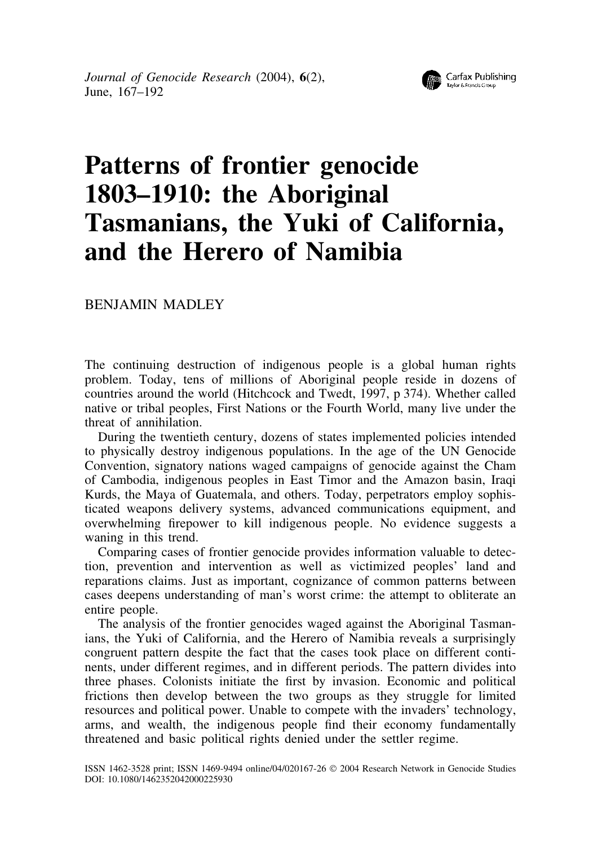

# **Patterns of frontier genocide 1803–1910: the Aboriginal Tasmanians, the Yuki of California, and the Herero of Namibia**

BENJAMIN MADLEY

The continuing destruction of indigenous people is a global human rights problem. Today, tens of millions of Aboriginal people reside in dozens of countries around the world (Hitchcock and Twedt, 1997, p 374). Whether called native or tribal peoples, First Nations or the Fourth World, many live under the threat of annihilation.

During the twentieth century, dozens of states implemented policies intended to physically destroy indigenous populations. In the age of the UN Genocide Convention, signatory nations waged campaigns of genocide against the Cham of Cambodia, indigenous peoples in East Timor and the Amazon basin, Iraqi Kurds, the Maya of Guatemala, and others. Today, perpetrators employ sophisticated weapons delivery systems, advanced communications equipment, and overwhelming firepower to kill indigenous people. No evidence suggests a waning in this trend.

Comparing cases of frontier genocide provides information valuable to detection, prevention and intervention as well as victimized peoples' land and reparations claims. Just as important, cognizance of common patterns between cases deepens understanding of man's worst crime: the attempt to obliterate an entire people.

The analysis of the frontier genocides waged against the Aboriginal Tasmanians, the Yuki of California, and the Herero of Namibia reveals a surprisingly congruent pattern despite the fact that the cases took place on different continents, under different regimes, and in different periods. The pattern divides into three phases. Colonists initiate the first by invasion. Economic and political frictions then develop between the two groups as they struggle for limited resources and political power. Unable to compete with the invaders' technology, arms, and wealth, the indigenous people find their economy fundamentally threatened and basic political rights denied under the settler regime.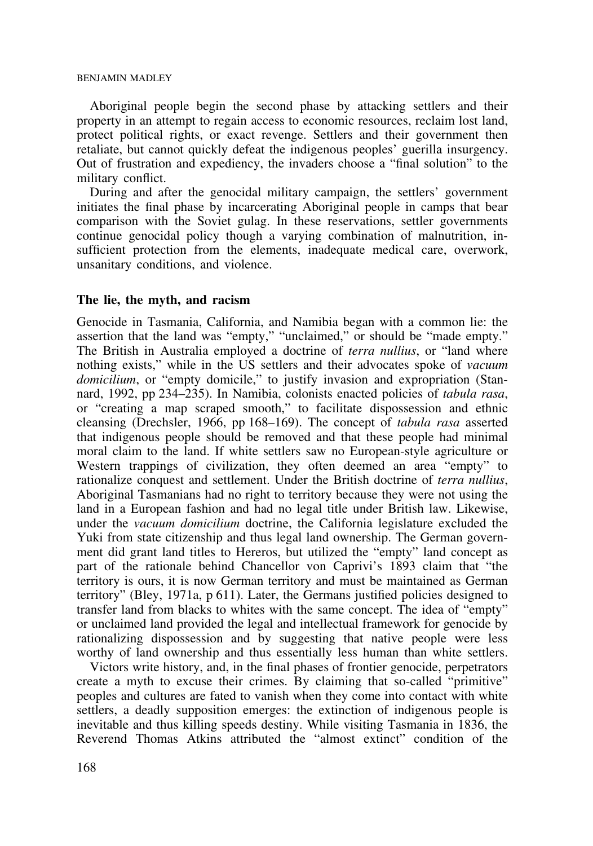Aboriginal people begin the second phase by attacking settlers and their property in an attempt to regain access to economic resources, reclaim lost land, protect political rights, or exact revenge. Settlers and their government then retaliate, but cannot quickly defeat the indigenous peoples' guerilla insurgency. Out of frustration and expediency, the invaders choose a "final solution" to the military conflict.

During and after the genocidal military campaign, the settlers' government initiates the final phase by incarcerating Aboriginal people in camps that bear comparison with the Soviet gulag. In these reservations, settler governments continue genocidal policy though a varying combination of malnutrition, insufficient protection from the elements, inadequate medical care, overwork, unsanitary conditions, and violence.

## **The lie, the myth, and racism**

Genocide in Tasmania, California, and Namibia began with a common lie: the assertion that the land was "empty," "unclaimed," or should be "made empty." The British in Australia employed a doctrine of *terra nullius*, or "land where nothing exists," while in the US settlers and their advocates spoke of *vacuum domicilium*, or "empty domicile," to justify invasion and expropriation (Stannard, 1992, pp 234–235). In Namibia, colonists enacted policies of *tabula rasa*, or "creating a map scraped smooth," to facilitate dispossession and ethnic cleansing (Drechsler, 1966, pp 168–169). The concept of *tabula rasa* asserted that indigenous people should be removed and that these people had minimal moral claim to the land. If white settlers saw no European-style agriculture or Western trappings of civilization, they often deemed an area "empty" to rationalize conquest and settlement. Under the British doctrine of *terra nullius*, Aboriginal Tasmanians had no right to territory because they were not using the land in a European fashion and had no legal title under British law. Likewise, under the *vacuum domicilium* doctrine, the California legislature excluded the Yuki from state citizenship and thus legal land ownership. The German government did grant land titles to Hereros, but utilized the "empty" land concept as part of the rationale behind Chancellor von Caprivi's 1893 claim that "the territory is ours, it is now German territory and must be maintained as German territory" (Bley, 1971a, p 611). Later, the Germans justified policies designed to transfer land from blacks to whites with the same concept. The idea of "empty" or unclaimed land provided the legal and intellectual framework for genocide by rationalizing dispossession and by suggesting that native people were less worthy of land ownership and thus essentially less human than white settlers.

Victors write history, and, in the final phases of frontier genocide, perpetrators create a myth to excuse their crimes. By claiming that so-called "primitive" peoples and cultures are fated to vanish when they come into contact with white settlers, a deadly supposition emerges: the extinction of indigenous people is inevitable and thus killing speeds destiny. While visiting Tasmania in 1836, the Reverend Thomas Atkins attributed the "almost extinct" condition of the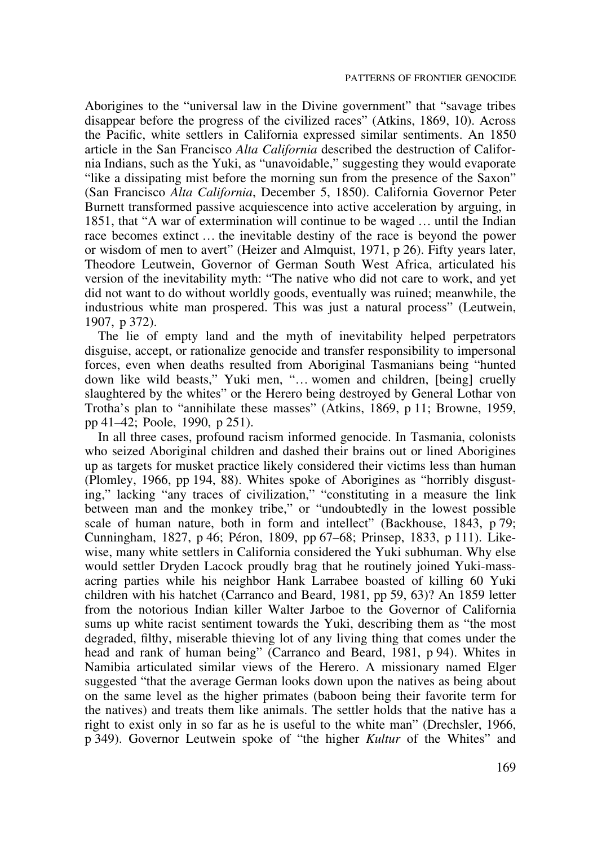Aborigines to the "universal law in the Divine government" that "savage tribes disappear before the progress of the civilized races" (Atkins, 1869, 10). Across the Pacific, white settlers in California expressed similar sentiments. An 1850 article in the San Francisco *Alta California* described the destruction of California Indians, such as the Yuki, as "unavoidable," suggesting they would evaporate "like a dissipating mist before the morning sun from the presence of the Saxon" (San Francisco *Alta California*, December 5, 1850). California Governor Peter Burnett transformed passive acquiescence into active acceleration by arguing, in 1851, that "A war of extermination will continue to be waged … until the Indian race becomes extinct … the inevitable destiny of the race is beyond the power or wisdom of men to avert" (Heizer and Almquist, 1971, p 26). Fifty years later, Theodore Leutwein, Governor of German South West Africa, articulated his version of the inevitability myth: "The native who did not care to work, and yet did not want to do without worldly goods, eventually was ruined; meanwhile, the industrious white man prospered. This was just a natural process" (Leutwein, 1907, p 372).

The lie of empty land and the myth of inevitability helped perpetrators disguise, accept, or rationalize genocide and transfer responsibility to impersonal forces, even when deaths resulted from Aboriginal Tasmanians being "hunted down like wild beasts," Yuki men, "… women and children, [being] cruelly slaughtered by the whites" or the Herero being destroyed by General Lothar von Trotha's plan to "annihilate these masses" (Atkins, 1869, p 11; Browne, 1959, pp 41–42; Poole, 1990, p 251).

In all three cases, profound racism informed genocide. In Tasmania, colonists who seized Aboriginal children and dashed their brains out or lined Aborigines up as targets for musket practice likely considered their victims less than human (Plomley, 1966, pp 194, 88). Whites spoke of Aborigines as "horribly disgusting," lacking "any traces of civilization," "constituting in a measure the link between man and the monkey tribe," or "undoubtedly in the lowest possible scale of human nature, both in form and intellect" (Backhouse, 1843, p 79; Cunningham, 1827, p 46; Péron, 1809, pp 67–68; Prinsep, 1833, p 111). Likewise, many white settlers in California considered the Yuki subhuman. Why else would settler Dryden Lacock proudly brag that he routinely joined Yuki-massacring parties while his neighbor Hank Larrabee boasted of killing 60 Yuki children with his hatchet (Carranco and Beard, 1981, pp 59, 63)? An 1859 letter from the notorious Indian killer Walter Jarboe to the Governor of California sums up white racist sentiment towards the Yuki, describing them as "the most degraded, filthy, miserable thieving lot of any living thing that comes under the head and rank of human being" (Carranco and Beard, 1981, p 94). Whites in Namibia articulated similar views of the Herero. A missionary named Elger suggested "that the average German looks down upon the natives as being about on the same level as the higher primates (baboon being their favorite term for the natives) and treats them like animals. The settler holds that the native has a right to exist only in so far as he is useful to the white man" (Drechsler, 1966, p 349). Governor Leutwein spoke of "the higher *Kultur* of the Whites" and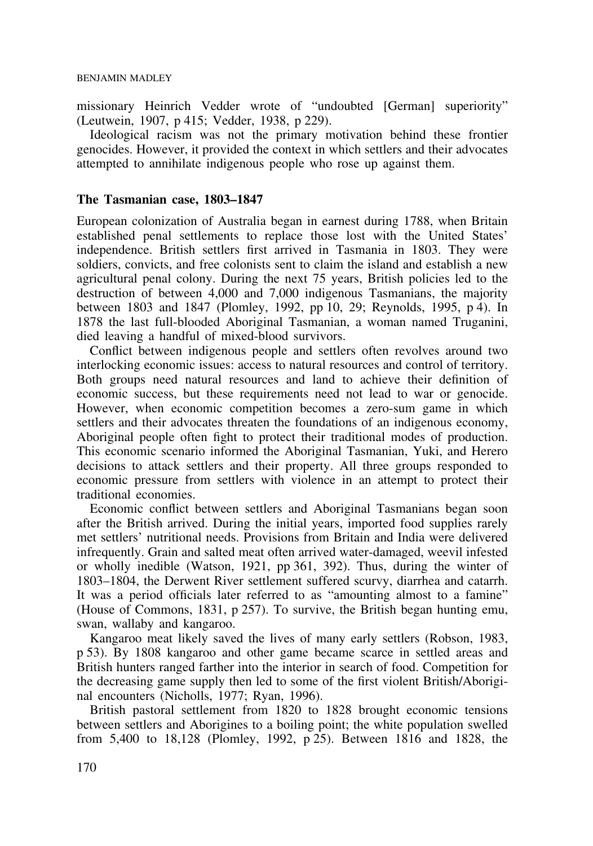missionary Heinrich Vedder wrote of "undoubted [German] superiority" (Leutwein, 1907, p 415; Vedder, 1938, p 229).

Ideological racism was not the primary motivation behind these frontier genocides. However, it provided the context in which settlers and their advocates attempted to annihilate indigenous people who rose up against them.

# **The Tasmanian case, 1803–1847**

European colonization of Australia began in earnest during 1788, when Britain established penal settlements to replace those lost with the United States' independence. British settlers first arrived in Tasmania in 1803. They were soldiers, convicts, and free colonists sent to claim the island and establish a new agricultural penal colony. During the next 75 years, British policies led to the destruction of between 4,000 and 7,000 indigenous Tasmanians, the majority between 1803 and 1847 (Plomley, 1992, pp 10, 29; Reynolds, 1995, p 4). In 1878 the last full-blooded Aboriginal Tasmanian, a woman named Truganini, died leaving a handful of mixed-blood survivors.

Conflict between indigenous people and settlers often revolves around two interlocking economic issues: access to natural resources and control of territory. Both groups need natural resources and land to achieve their definition of economic success, but these requirements need not lead to war or genocide. However, when economic competition becomes a zero-sum game in which settlers and their advocates threaten the foundations of an indigenous economy, Aboriginal people often fight to protect their traditional modes of production. This economic scenario informed the Aboriginal Tasmanian, Yuki, and Herero decisions to attack settlers and their property. All three groups responded to economic pressure from settlers with violence in an attempt to protect their traditional economies.

Economic conflict between settlers and Aboriginal Tasmanians began soon after the British arrived. During the initial years, imported food supplies rarely met settlers' nutritional needs. Provisions from Britain and India were delivered infrequently. Grain and salted meat often arrived water-damaged, weevil infested or wholly inedible (Watson, 1921, pp 361, 392). Thus, during the winter of 1803–1804, the Derwent River settlement suffered scurvy, diarrhea and catarrh. It was a period officials later referred to as "amounting almost to a famine" (House of Commons, 1831, p 257). To survive, the British began hunting emu, swan, wallaby and kangaroo.

Kangaroo meat likely saved the lives of many early settlers (Robson, 1983, p 53). By 1808 kangaroo and other game became scarce in settled areas and British hunters ranged farther into the interior in search of food. Competition for the decreasing game supply then led to some of the first violent British/Aboriginal encounters (Nicholls, 1977; Ryan, 1996).

British pastoral settlement from 1820 to 1828 brought economic tensions between settlers and Aborigines to a boiling point; the white population swelled from 5,400 to 18,128 (Plomley, 1992, p 25). Between 1816 and 1828, the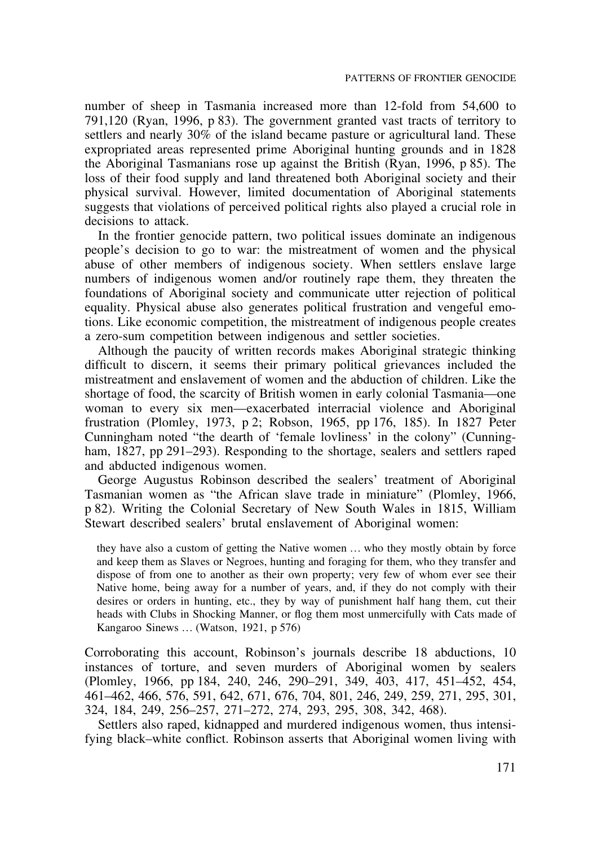number of sheep in Tasmania increased more than 12-fold from 54,600 to 791,120 (Ryan, 1996, p 83). The government granted vast tracts of territory to settlers and nearly 30% of the island became pasture or agricultural land. These expropriated areas represented prime Aboriginal hunting grounds and in 1828 the Aboriginal Tasmanians rose up against the British (Ryan, 1996, p 85). The loss of their food supply and land threatened both Aboriginal society and their physical survival. However, limited documentation of Aboriginal statements suggests that violations of perceived political rights also played a crucial role in decisions to attack.

In the frontier genocide pattern, two political issues dominate an indigenous people's decision to go to war: the mistreatment of women and the physical abuse of other members of indigenous society. When settlers enslave large numbers of indigenous women and/or routinely rape them, they threaten the foundations of Aboriginal society and communicate utter rejection of political equality. Physical abuse also generates political frustration and vengeful emotions. Like economic competition, the mistreatment of indigenous people creates a zero-sum competition between indigenous and settler societies.

Although the paucity of written records makes Aboriginal strategic thinking difficult to discern, it seems their primary political grievances included the mistreatment and enslavement of women and the abduction of children. Like the shortage of food, the scarcity of British women in early colonial Tasmania—one woman to every six men—exacerbated interracial violence and Aboriginal frustration (Plomley, 1973, p 2; Robson, 1965, pp 176, 185). In 1827 Peter Cunningham noted "the dearth of 'female lovliness' in the colony" (Cunningham, 1827, pp 291–293). Responding to the shortage, sealers and settlers raped and abducted indigenous women.

George Augustus Robinson described the sealers' treatment of Aboriginal Tasmanian women as "the African slave trade in miniature" (Plomley, 1966, p 82). Writing the Colonial Secretary of New South Wales in 1815, William Stewart described sealers' brutal enslavement of Aboriginal women:

they have also a custom of getting the Native women … who they mostly obtain by force and keep them as Slaves or Negroes, hunting and foraging for them, who they transfer and dispose of from one to another as their own property; very few of whom ever see their Native home, being away for a number of years, and, if they do not comply with their desires or orders in hunting, etc., they by way of punishment half hang them, cut their heads with Clubs in Shocking Manner, or flog them most unmercifully with Cats made of Kangaroo Sinews … (Watson, 1921, p 576)

Corroborating this account, Robinson's journals describe 18 abductions, 10 instances of torture, and seven murders of Aboriginal women by sealers (Plomley, 1966, pp 184, 240, 246, 290–291, 349, 403, 417, 451–452, 454, 461–462, 466, 576, 591, 642, 671, 676, 704, 801, 246, 249, 259, 271, 295, 301, 324, 184, 249, 256–257, 271–272, 274, 293, 295, 308, 342, 468).

Settlers also raped, kidnapped and murdered indigenous women, thus intensifying black–white conflict. Robinson asserts that Aboriginal women living with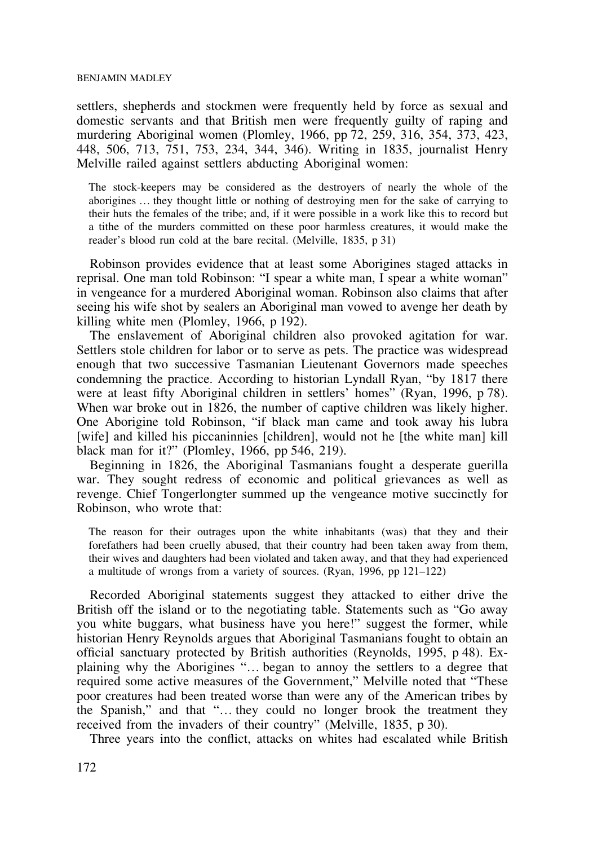settlers, shepherds and stockmen were frequently held by force as sexual and domestic servants and that British men were frequently guilty of raping and murdering Aboriginal women (Plomley, 1966, pp 72, 259, 316, 354, 373, 423, 448, 506, 713, 751, 753, 234, 344, 346). Writing in 1835, journalist Henry Melville railed against settlers abducting Aboriginal women:

The stock-keepers may be considered as the destroyers of nearly the whole of the aborigines … they thought little or nothing of destroying men for the sake of carrying to their huts the females of the tribe; and, if it were possible in a work like this to record but a tithe of the murders committed on these poor harmless creatures, it would make the reader's blood run cold at the bare recital. (Melville, 1835, p 31)

Robinson provides evidence that at least some Aborigines staged attacks in reprisal. One man told Robinson: "I spear a white man, I spear a white woman" in vengeance for a murdered Aboriginal woman. Robinson also claims that after seeing his wife shot by sealers an Aboriginal man vowed to avenge her death by killing white men (Plomley, 1966, p 192).

The enslavement of Aboriginal children also provoked agitation for war. Settlers stole children for labor or to serve as pets. The practice was widespread enough that two successive Tasmanian Lieutenant Governors made speeches condemning the practice. According to historian Lyndall Ryan, "by 1817 there were at least fifty Aboriginal children in settlers' homes" (Ryan, 1996, p 78). When war broke out in 1826, the number of captive children was likely higher. One Aborigine told Robinson, "if black man came and took away his lubra [wife] and killed his piccaninnies [children], would not he [the white man] kill black man for it?" (Plomley, 1966, pp 546, 219).

Beginning in 1826, the Aboriginal Tasmanians fought a desperate guerilla war. They sought redress of economic and political grievances as well as revenge. Chief Tongerlongter summed up the vengeance motive succinctly for Robinson, who wrote that:

The reason for their outrages upon the white inhabitants (was) that they and their forefathers had been cruelly abused, that their country had been taken away from them, their wives and daughters had been violated and taken away, and that they had experienced a multitude of wrongs from a variety of sources. (Ryan, 1996, pp 121–122)

Recorded Aboriginal statements suggest they attacked to either drive the British off the island or to the negotiating table. Statements such as "Go away you white buggars, what business have you here!" suggest the former, while historian Henry Reynolds argues that Aboriginal Tasmanians fought to obtain an official sanctuary protected by British authorities (Reynolds, 1995, p 48). Explaining why the Aborigines "… began to annoy the settlers to a degree that required some active measures of the Government," Melville noted that "These poor creatures had been treated worse than were any of the American tribes by the Spanish," and that "… they could no longer brook the treatment they received from the invaders of their country" (Melville, 1835, p 30).

Three years into the conflict, attacks on whites had escalated while British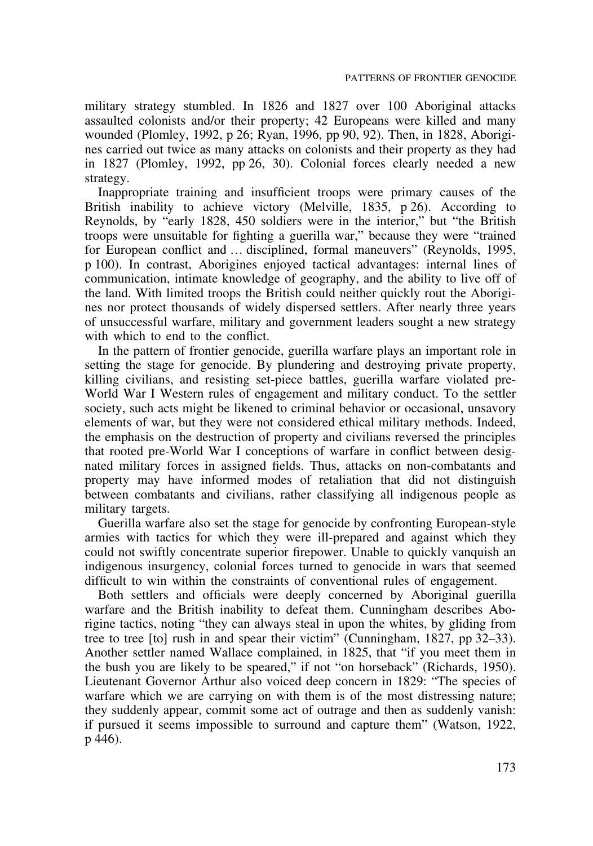military strategy stumbled. In 1826 and 1827 over 100 Aboriginal attacks assaulted colonists and/or their property; 42 Europeans were killed and many wounded (Plomley, 1992, p 26; Ryan, 1996, pp 90, 92). Then, in 1828, Aborigines carried out twice as many attacks on colonists and their property as they had in 1827 (Plomley, 1992, pp 26, 30). Colonial forces clearly needed a new strategy.

Inappropriate training and insufficient troops were primary causes of the British inability to achieve victory (Melville, 1835, p 26). According to Reynolds, by "early 1828, 450 soldiers were in the interior," but "the British troops were unsuitable for fighting a guerilla war," because they were "trained for European conflict and … disciplined, formal maneuvers" (Reynolds, 1995, p 100). In contrast, Aborigines enjoyed tactical advantages: internal lines of communication, intimate knowledge of geography, and the ability to live off of the land. With limited troops the British could neither quickly rout the Aborigines nor protect thousands of widely dispersed settlers. After nearly three years of unsuccessful warfare, military and government leaders sought a new strategy with which to end to the conflict.

In the pattern of frontier genocide, guerilla warfare plays an important role in setting the stage for genocide. By plundering and destroying private property, killing civilians, and resisting set-piece battles, guerilla warfare violated pre-World War I Western rules of engagement and military conduct. To the settler society, such acts might be likened to criminal behavior or occasional, unsavory elements of war, but they were not considered ethical military methods. Indeed, the emphasis on the destruction of property and civilians reversed the principles that rooted pre-World War I conceptions of warfare in conflict between designated military forces in assigned fields. Thus, attacks on non-combatants and property may have informed modes of retaliation that did not distinguish between combatants and civilians, rather classifying all indigenous people as military targets.

Guerilla warfare also set the stage for genocide by confronting European-style armies with tactics for which they were ill-prepared and against which they could not swiftly concentrate superior firepower. Unable to quickly vanquish an indigenous insurgency, colonial forces turned to genocide in wars that seemed difficult to win within the constraints of conventional rules of engagement.

Both settlers and officials were deeply concerned by Aboriginal guerilla warfare and the British inability to defeat them. Cunningham describes Aborigine tactics, noting "they can always steal in upon the whites, by gliding from tree to tree [to] rush in and spear their victim" (Cunningham, 1827, pp 32–33). Another settler named Wallace complained, in 1825, that "if you meet them in the bush you are likely to be speared," if not "on horseback" (Richards, 1950). Lieutenant Governor Arthur also voiced deep concern in 1829: "The species of warfare which we are carrying on with them is of the most distressing nature; they suddenly appear, commit some act of outrage and then as suddenly vanish: if pursued it seems impossible to surround and capture them" (Watson, 1922, p 446).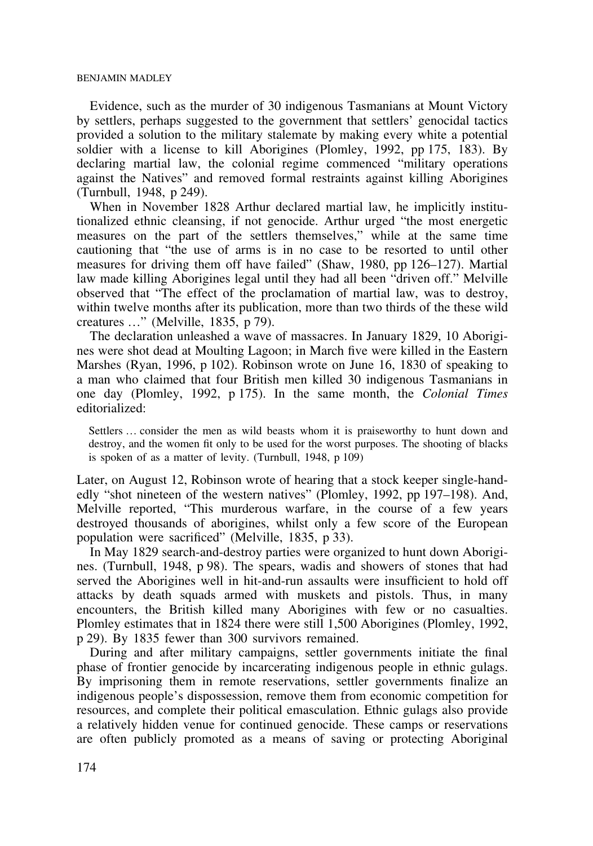Evidence, such as the murder of 30 indigenous Tasmanians at Mount Victory by settlers, perhaps suggested to the government that settlers' genocidal tactics provided a solution to the military stalemate by making every white a potential soldier with a license to kill Aborigines (Plomley, 1992, pp 175, 183). By declaring martial law, the colonial regime commenced "military operations against the Natives" and removed formal restraints against killing Aborigines (Turnbull, 1948, p 249).

When in November 1828 Arthur declared martial law, he implicitly institutionalized ethnic cleansing, if not genocide. Arthur urged "the most energetic measures on the part of the settlers themselves," while at the same time cautioning that "the use of arms is in no case to be resorted to until other measures for driving them off have failed" (Shaw, 1980, pp 126–127). Martial law made killing Aborigines legal until they had all been "driven off." Melville observed that "The effect of the proclamation of martial law, was to destroy, within twelve months after its publication, more than two thirds of the these wild creatures …" (Melville, 1835, p 79).

The declaration unleashed a wave of massacres. In January 1829, 10 Aborigines were shot dead at Moulting Lagoon; in March five were killed in the Eastern Marshes (Ryan, 1996, p 102). Robinson wrote on June 16, 1830 of speaking to a man who claimed that four British men killed 30 indigenous Tasmanians in one day (Plomley, 1992, p 175). In the same month, the *Colonial Times* editorialized:

Settlers … consider the men as wild beasts whom it is praiseworthy to hunt down and destroy, and the women fit only to be used for the worst purposes. The shooting of blacks is spoken of as a matter of levity. (Turnbull, 1948, p 109)

Later, on August 12, Robinson wrote of hearing that a stock keeper single-handedly "shot nineteen of the western natives" (Plomley, 1992, pp 197–198). And, Melville reported, "This murderous warfare, in the course of a few years destroyed thousands of aborigines, whilst only a few score of the European population were sacrificed" (Melville, 1835, p 33).

In May 1829 search-and-destroy parties were organized to hunt down Aborigines. (Turnbull, 1948, p 98). The spears, wadis and showers of stones that had served the Aborigines well in hit-and-run assaults were insufficient to hold off attacks by death squads armed with muskets and pistols. Thus, in many encounters, the British killed many Aborigines with few or no casualties. Plomley estimates that in 1824 there were still 1,500 Aborigines (Plomley, 1992, p 29). By 1835 fewer than 300 survivors remained.

During and after military campaigns, settler governments initiate the final phase of frontier genocide by incarcerating indigenous people in ethnic gulags. By imprisoning them in remote reservations, settler governments finalize an indigenous people's dispossession, remove them from economic competition for resources, and complete their political emasculation. Ethnic gulags also provide a relatively hidden venue for continued genocide. These camps or reservations are often publicly promoted as a means of saving or protecting Aboriginal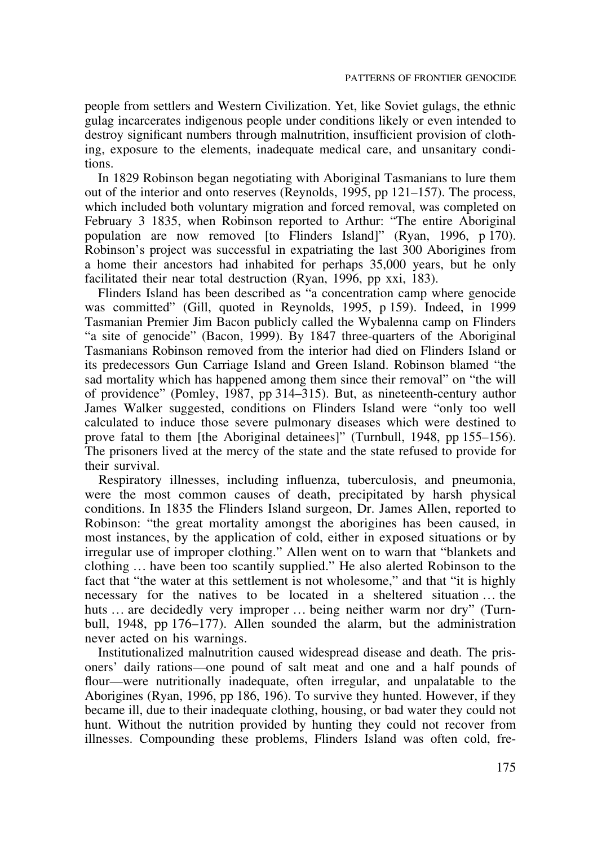people from settlers and Western Civilization. Yet, like Soviet gulags, the ethnic gulag incarcerates indigenous people under conditions likely or even intended to destroy significant numbers through malnutrition, insufficient provision of clothing, exposure to the elements, inadequate medical care, and unsanitary conditions.

In 1829 Robinson began negotiating with Aboriginal Tasmanians to lure them out of the interior and onto reserves (Reynolds, 1995, pp  $121-157$ ). The process, which included both voluntary migration and forced removal, was completed on February 3 1835, when Robinson reported to Arthur: "The entire Aboriginal population are now removed [to Flinders Island]" (Ryan, 1996, p 170). Robinson's project was successful in expatriating the last 300 Aborigines from a home their ancestors had inhabited for perhaps 35,000 years, but he only facilitated their near total destruction (Ryan, 1996, pp xxi, 183).

Flinders Island has been described as "a concentration camp where genocide was committed" (Gill, quoted in Reynolds, 1995, p 159). Indeed, in 1999 Tasmanian Premier Jim Bacon publicly called the Wybalenna camp on Flinders "a site of genocide" (Bacon, 1999). By 1847 three-quarters of the Aboriginal Tasmanians Robinson removed from the interior had died on Flinders Island or its predecessors Gun Carriage Island and Green Island. Robinson blamed "the sad mortality which has happened among them since their removal" on "the will of providence" (Pomley, 1987, pp 314–315). But, as nineteenth-century author James Walker suggested, conditions on Flinders Island were "only too well calculated to induce those severe pulmonary diseases which were destined to prove fatal to them [the Aboriginal detainees]" (Turnbull, 1948, pp 155–156). The prisoners lived at the mercy of the state and the state refused to provide for their survival.

Respiratory illnesses, including influenza, tuberculosis, and pneumonia, were the most common causes of death, precipitated by harsh physical conditions. In 1835 the Flinders Island surgeon, Dr. James Allen, reported to Robinson: "the great mortality amongst the aborigines has been caused, in most instances, by the application of cold, either in exposed situations or by irregular use of improper clothing." Allen went on to warn that "blankets and clothing … have been too scantily supplied." He also alerted Robinson to the fact that "the water at this settlement is not wholesome," and that "it is highly necessary for the natives to be located in a sheltered situation … the huts ... are decidedly very improper ... being neither warm nor dry" (Turnbull, 1948, pp 176–177). Allen sounded the alarm, but the administration never acted on his warnings.

Institutionalized malnutrition caused widespread disease and death. The prisoners' daily rations—one pound of salt meat and one and a half pounds of flour—were nutritionally inadequate, often irregular, and unpalatable to the Aborigines (Ryan, 1996, pp 186, 196). To survive they hunted. However, if they became ill, due to their inadequate clothing, housing, or bad water they could not hunt. Without the nutrition provided by hunting they could not recover from illnesses. Compounding these problems, Flinders Island was often cold, fre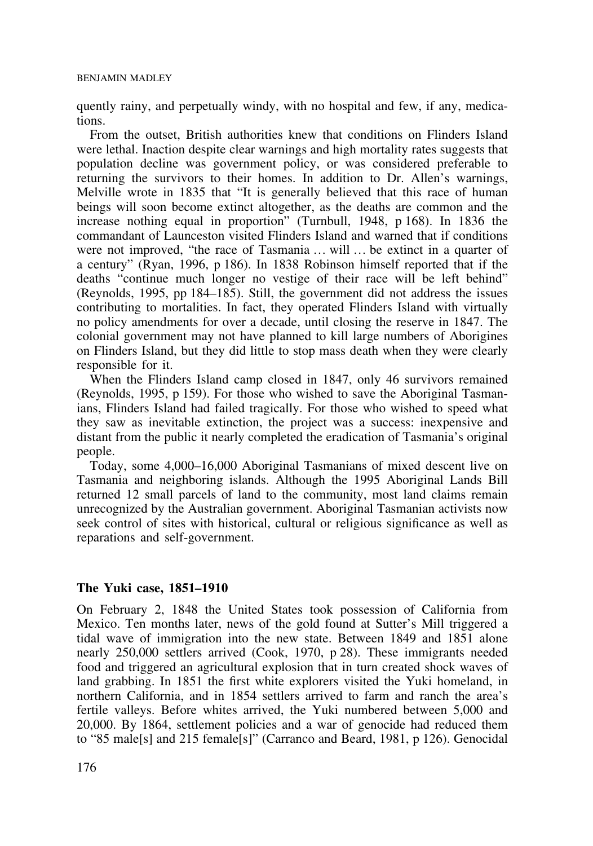quently rainy, and perpetually windy, with no hospital and few, if any, medications.

From the outset, British authorities knew that conditions on Flinders Island were lethal. Inaction despite clear warnings and high mortality rates suggests that population decline was government policy, or was considered preferable to returning the survivors to their homes. In addition to Dr. Allen's warnings, Melville wrote in 1835 that "It is generally believed that this race of human beings will soon become extinct altogether, as the deaths are common and the increase nothing equal in proportion" (Turnbull, 1948, p 168). In 1836 the commandant of Launceston visited Flinders Island and warned that if conditions were not improved, "the race of Tasmania … will … be extinct in a quarter of a century" (Ryan, 1996, p 186). In 1838 Robinson himself reported that if the deaths "continue much longer no vestige of their race will be left behind" (Reynolds, 1995, pp 184–185). Still, the government did not address the issues contributing to mortalities. In fact, they operated Flinders Island with virtually no policy amendments for over a decade, until closing the reserve in 1847. The colonial government may not have planned to kill large numbers of Aborigines on Flinders Island, but they did little to stop mass death when they were clearly responsible for it.

When the Flinders Island camp closed in 1847, only 46 survivors remained (Reynolds, 1995, p 159). For those who wished to save the Aboriginal Tasmanians, Flinders Island had failed tragically. For those who wished to speed what they saw as inevitable extinction, the project was a success: inexpensive and distant from the public it nearly completed the eradication of Tasmania's original people.

Today, some 4,000–16,000 Aboriginal Tasmanians of mixed descent live on Tasmania and neighboring islands. Although the 1995 Aboriginal Lands Bill returned 12 small parcels of land to the community, most land claims remain unrecognized by the Australian government. Aboriginal Tasmanian activists now seek control of sites with historical, cultural or religious significance as well as reparations and self-government.

# **The Yuki case, 1851–1910**

On February 2, 1848 the United States took possession of California from Mexico. Ten months later, news of the gold found at Sutter's Mill triggered a tidal wave of immigration into the new state. Between 1849 and 1851 alone nearly 250,000 settlers arrived (Cook, 1970, p 28). These immigrants needed food and triggered an agricultural explosion that in turn created shock waves of land grabbing. In 1851 the first white explorers visited the Yuki homeland, in northern California, and in 1854 settlers arrived to farm and ranch the area's fertile valleys. Before whites arrived, the Yuki numbered between 5,000 and 20,000. By 1864, settlement policies and a war of genocide had reduced them to "85 male[s] and 215 female[s]" (Carranco and Beard, 1981, p 126). Genocidal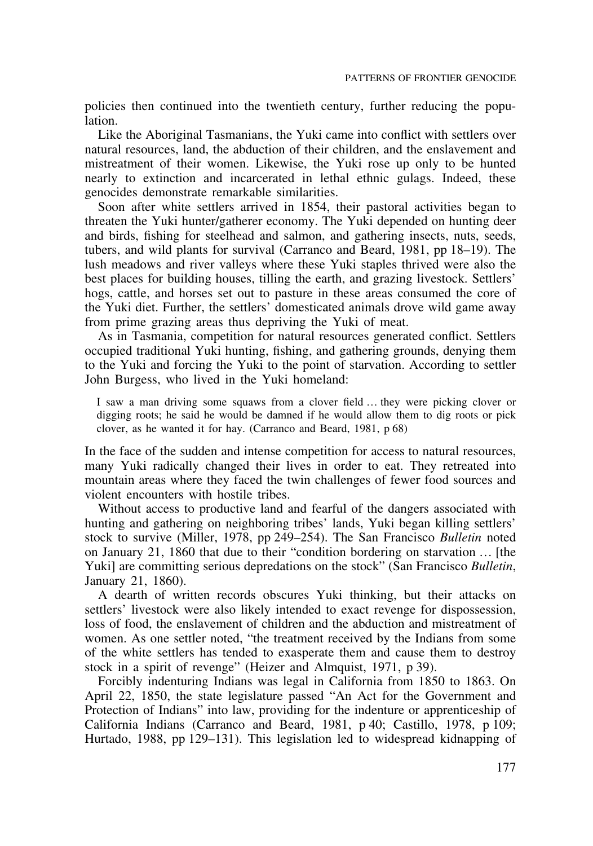policies then continued into the twentieth century, further reducing the population.

Like the Aboriginal Tasmanians, the Yuki came into conflict with settlers over natural resources, land, the abduction of their children, and the enslavement and mistreatment of their women. Likewise, the Yuki rose up only to be hunted nearly to extinction and incarcerated in lethal ethnic gulags. Indeed, these genocides demonstrate remarkable similarities.

Soon after white settlers arrived in 1854, their pastoral activities began to threaten the Yuki hunter/gatherer economy. The Yuki depended on hunting deer and birds, fishing for steelhead and salmon, and gathering insects, nuts, seeds, tubers, and wild plants for survival (Carranco and Beard, 1981, pp 18–19). The lush meadows and river valleys where these Yuki staples thrived were also the best places for building houses, tilling the earth, and grazing livestock. Settlers' hogs, cattle, and horses set out to pasture in these areas consumed the core of the Yuki diet. Further, the settlers' domesticated animals drove wild game away from prime grazing areas thus depriving the Yuki of meat.

As in Tasmania, competition for natural resources generated conflict. Settlers occupied traditional Yuki hunting, fishing, and gathering grounds, denying them to the Yuki and forcing the Yuki to the point of starvation. According to settler John Burgess, who lived in the Yuki homeland:

I saw a man driving some squaws from a clover field … they were picking clover or digging roots; he said he would be damned if he would allow them to dig roots or pick clover, as he wanted it for hay. (Carranco and Beard, 1981, p 68)

In the face of the sudden and intense competition for access to natural resources, many Yuki radically changed their lives in order to eat. They retreated into mountain areas where they faced the twin challenges of fewer food sources and violent encounters with hostile tribes.

Without access to productive land and fearful of the dangers associated with hunting and gathering on neighboring tribes' lands, Yuki began killing settlers' stock to survive (Miller, 1978, pp 249–254). The San Francisco *Bulletin* noted on January 21, 1860 that due to their "condition bordering on starvation … [the Yuki] are committing serious depredations on the stock" (San Francisco *Bulletin*, January 21, 1860).

A dearth of written records obscures Yuki thinking, but their attacks on settlers' livestock were also likely intended to exact revenge for dispossession, loss of food, the enslavement of children and the abduction and mistreatment of women. As one settler noted, "the treatment received by the Indians from some of the white settlers has tended to exasperate them and cause them to destroy stock in a spirit of revenge" (Heizer and Almquist, 1971, p 39).

Forcibly indenturing Indians was legal in California from 1850 to 1863. On April 22, 1850, the state legislature passed "An Act for the Government and Protection of Indians" into law, providing for the indenture or apprenticeship of California Indians (Carranco and Beard, 1981, p 40; Castillo, 1978, p 109; Hurtado, 1988, pp 129–131). This legislation led to widespread kidnapping of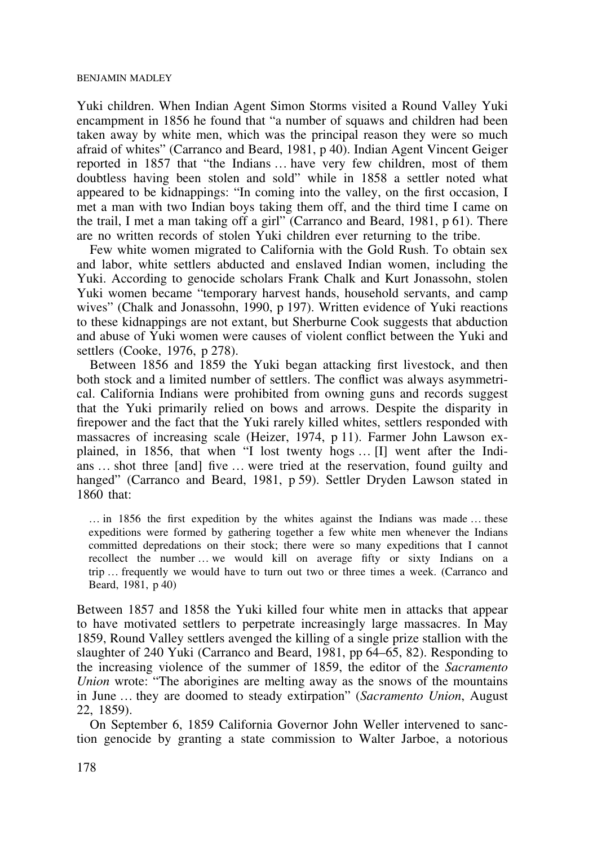Yuki children. When Indian Agent Simon Storms visited a Round Valley Yuki encampment in 1856 he found that "a number of squaws and children had been taken away by white men, which was the principal reason they were so much afraid of whites" (Carranco and Beard, 1981, p 40). Indian Agent Vincent Geiger reported in 1857 that "the Indians … have very few children, most of them doubtless having been stolen and sold" while in 1858 a settler noted what appeared to be kidnappings: "In coming into the valley, on the first occasion, I met a man with two Indian boys taking them off, and the third time I came on the trail, I met a man taking off a girl" (Carranco and Beard, 1981, p 61). There are no written records of stolen Yuki children ever returning to the tribe.

Few white women migrated to California with the Gold Rush. To obtain sex and labor, white settlers abducted and enslaved Indian women, including the Yuki. According to genocide scholars Frank Chalk and Kurt Jonassohn, stolen Yuki women became "temporary harvest hands, household servants, and camp wives" (Chalk and Jonassohn, 1990, p 197). Written evidence of Yuki reactions to these kidnappings are not extant, but Sherburne Cook suggests that abduction and abuse of Yuki women were causes of violent conflict between the Yuki and settlers (Cooke, 1976, p 278).

Between 1856 and 1859 the Yuki began attacking first livestock, and then both stock and a limited number of settlers. The conflict was always asymmetrical. California Indians were prohibited from owning guns and records suggest that the Yuki primarily relied on bows and arrows. Despite the disparity in firepower and the fact that the Yuki rarely killed whites, settlers responded with massacres of increasing scale (Heizer, 1974, p 11). Farmer John Lawson explained, in 1856, that when "I lost twenty hogs … [I] went after the Indians … shot three [and] five … were tried at the reservation, found guilty and hanged" (Carranco and Beard, 1981, p 59). Settler Dryden Lawson stated in 1860 that:

… in 1856 the first expedition by the whites against the Indians was made … these expeditions were formed by gathering together a few white men whenever the Indians committed depredations on their stock; there were so many expeditions that I cannot recollect the number … we would kill on average fifty or sixty Indians on a trip … frequently we would have to turn out two or three times a week. (Carranco and Beard, 1981, p 40)

Between 1857 and 1858 the Yuki killed four white men in attacks that appear to have motivated settlers to perpetrate increasingly large massacres. In May 1859, Round Valley settlers avenged the killing of a single prize stallion with the slaughter of 240 Yuki (Carranco and Beard, 1981, pp 64–65, 82). Responding to the increasing violence of the summer of 1859, the editor of the *Sacramento Union* wrote: "The aborigines are melting away as the snows of the mountains in June … they are doomed to steady extirpation" (*Sacramento Union*, August 22, 1859).

On September 6, 1859 California Governor John Weller intervened to sanction genocide by granting a state commission to Walter Jarboe, a notorious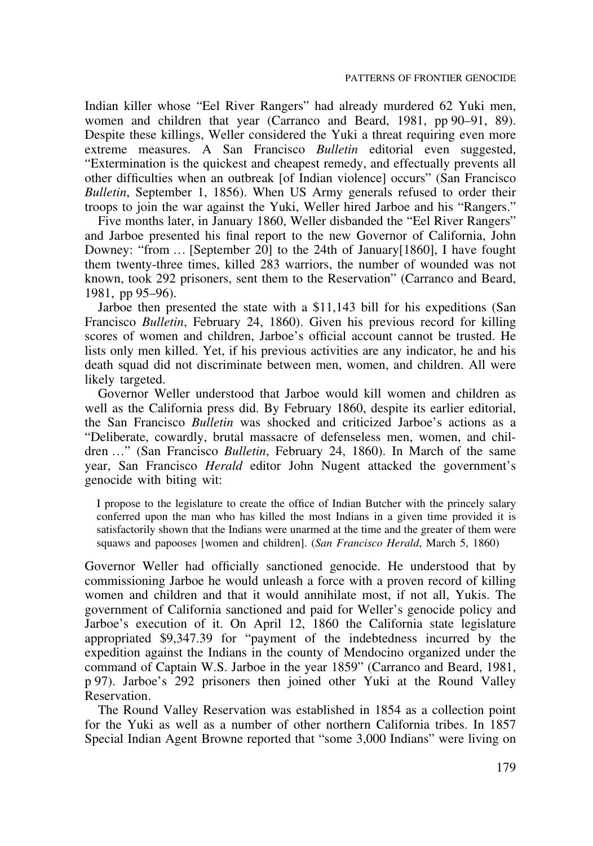Indian killer whose "Eel River Rangers" had already murdered 62 Yuki men, women and children that year (Carranco and Beard, 1981, pp 90–91, 89). Despite these killings, Weller considered the Yuki a threat requiring even more extreme measures. A San Francisco *Bulletin* editorial even suggested, "Extermination is the quickest and cheapest remedy, and effectually prevents all other difficulties when an outbreak [of Indian violence] occurs" (San Francisco *Bulletin*, September 1, 1856). When US Army generals refused to order their troops to join the war against the Yuki, Weller hired Jarboe and his "Rangers."

Five months later, in January 1860, Weller disbanded the "Eel River Rangers" and Jarboe presented his final report to the new Governor of California, John Downey: "from … [September 20] to the 24th of January[1860], I have fought them twenty-three times, killed 283 warriors, the number of wounded was not known, took 292 prisoners, sent them to the Reservation" (Carranco and Beard, 1981, pp 95–96).

Jarboe then presented the state with a \$11,143 bill for his expeditions (San Francisco *Bulletin*, February 24, 1860). Given his previous record for killing scores of women and children, Jarboe's official account cannot be trusted. He lists only men killed. Yet, if his previous activities are any indicator, he and his death squad did not discriminate between men, women, and children. All were likely targeted.

Governor Weller understood that Jarboe would kill women and children as well as the California press did. By February 1860, despite its earlier editorial, the San Francisco *Bulletin* was shocked and criticized Jarboe's actions as a "Deliberate, cowardly, brutal massacre of defenseless men, women, and children …" (San Francisco *Bulletin*, February 24, 1860). In March of the same year, San Francisco *Herald* editor John Nugent attacked the government's genocide with biting wit:

I propose to the legislature to create the office of Indian Butcher with the princely salary conferred upon the man who has killed the most Indians in a given time provided it is satisfactorily shown that the Indians were unarmed at the time and the greater of them were squaws and papooses [women and children]. (*San Francisco Herald*, March 5, 1860)

Governor Weller had officially sanctioned genocide. He understood that by commissioning Jarboe he would unleash a force with a proven record of killing women and children and that it would annihilate most, if not all, Yukis. The government of California sanctioned and paid for Weller's genocide policy and Jarboe's execution of it. On April 12, 1860 the California state legislature appropriated \$9,347.39 for "payment of the indebtedness incurred by the expedition against the Indians in the county of Mendocino organized under the command of Captain W.S. Jarboe in the year 1859" (Carranco and Beard, 1981, p 97). Jarboe's 292 prisoners then joined other Yuki at the Round Valley Reservation.

The Round Valley Reservation was established in 1854 as a collection point for the Yuki as well as a number of other northern California tribes. In 1857 Special Indian Agent Browne reported that "some 3,000 Indians" were living on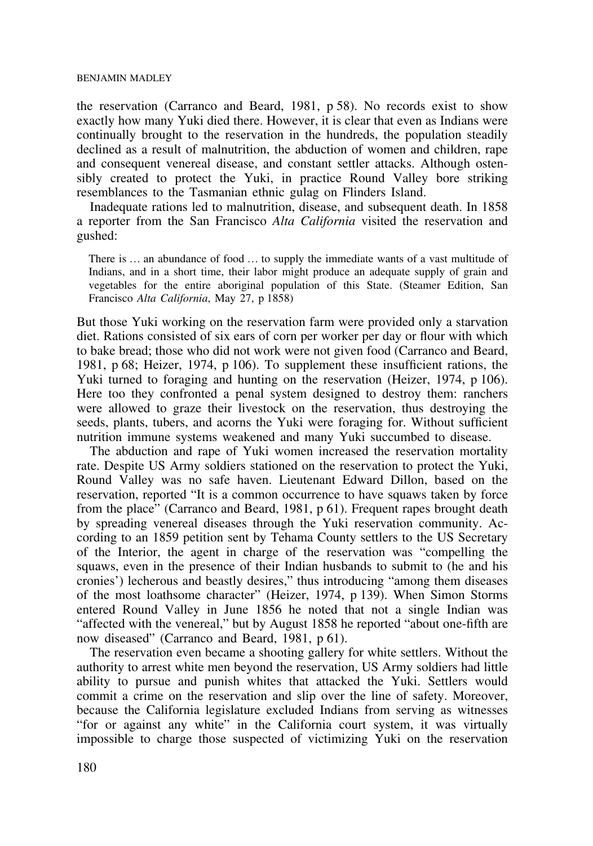the reservation (Carranco and Beard, 1981, p 58). No records exist to show exactly how many Yuki died there. However, it is clear that even as Indians were continually brought to the reservation in the hundreds, the population steadily declined as a result of malnutrition, the abduction of women and children, rape and consequent venereal disease, and constant settler attacks. Although ostensibly created to protect the Yuki, in practice Round Valley bore striking resemblances to the Tasmanian ethnic gulag on Flinders Island.

Inadequate rations led to malnutrition, disease, and subsequent death. In 1858 a reporter from the San Francisco *Alta California* visited the reservation and gushed:

There is … an abundance of food … to supply the immediate wants of a vast multitude of Indians, and in a short time, their labor might produce an adequate supply of grain and vegetables for the entire aboriginal population of this State. (Steamer Edition, San Francisco *Alta California*, May 27, p 1858)

But those Yuki working on the reservation farm were provided only a starvation diet. Rations consisted of six ears of corn per worker per day or flour with which to bake bread; those who did not work were not given food (Carranco and Beard, 1981, p 68; Heizer, 1974, p 106). To supplement these insufficient rations, the Yuki turned to foraging and hunting on the reservation (Heizer, 1974, p 106). Here too they confronted a penal system designed to destroy them: ranchers were allowed to graze their livestock on the reservation, thus destroying the seeds, plants, tubers, and acorns the Yuki were foraging for. Without sufficient nutrition immune systems weakened and many Yuki succumbed to disease.

The abduction and rape of Yuki women increased the reservation mortality rate. Despite US Army soldiers stationed on the reservation to protect the Yuki, Round Valley was no safe haven. Lieutenant Edward Dillon, based on the reservation, reported "It is a common occurrence to have squaws taken by force from the place" (Carranco and Beard, 1981, p 61). Frequent rapes brought death by spreading venereal diseases through the Yuki reservation community. According to an 1859 petition sent by Tehama County settlers to the US Secretary of the Interior, the agent in charge of the reservation was "compelling the squaws, even in the presence of their Indian husbands to submit to (he and his cronies') lecherous and beastly desires," thus introducing "among them diseases of the most loathsome character" (Heizer, 1974, p 139). When Simon Storms entered Round Valley in June 1856 he noted that not a single Indian was "affected with the venereal," but by August 1858 he reported "about one-fifth are now diseased" (Carranco and Beard, 1981, p 61).

The reservation even became a shooting gallery for white settlers. Without the authority to arrest white men beyond the reservation, US Army soldiers had little ability to pursue and punish whites that attacked the Yuki. Settlers would commit a crime on the reservation and slip over the line of safety. Moreover, because the California legislature excluded Indians from serving as witnesses "for or against any white" in the California court system, it was virtually impossible to charge those suspected of victimizing Yuki on the reservation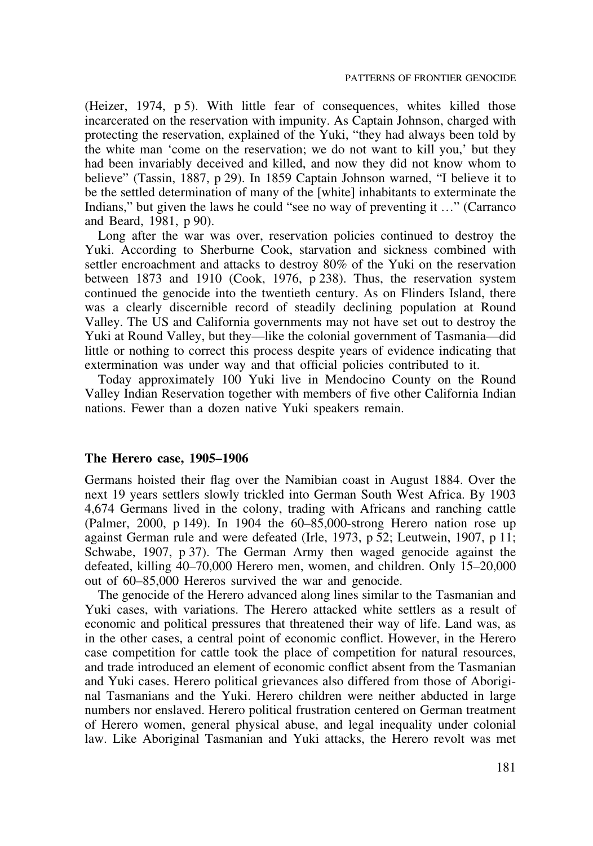(Heizer, 1974, p 5). With little fear of consequences, whites killed those incarcerated on the reservation with impunity. As Captain Johnson, charged with protecting the reservation, explained of the Yuki, "they had always been told by the white man 'come on the reservation; we do not want to kill you,' but they had been invariably deceived and killed, and now they did not know whom to believe" (Tassin, 1887, p 29). In 1859 Captain Johnson warned, "I believe it to be the settled determination of many of the [white] inhabitants to exterminate the Indians," but given the laws he could "see no way of preventing it …" (Carranco and Beard, 1981, p 90).

Long after the war was over, reservation policies continued to destroy the Yuki. According to Sherburne Cook, starvation and sickness combined with settler encroachment and attacks to destroy 80% of the Yuki on the reservation between 1873 and 1910 (Cook, 1976, p 238). Thus, the reservation system continued the genocide into the twentieth century. As on Flinders Island, there was a clearly discernible record of steadily declining population at Round Valley. The US and California governments may not have set out to destroy the Yuki at Round Valley, but they—like the colonial government of Tasmania—did little or nothing to correct this process despite years of evidence indicating that extermination was under way and that official policies contributed to it.

Today approximately 100 Yuki live in Mendocino County on the Round Valley Indian Reservation together with members of five other California Indian nations. Fewer than a dozen native Yuki speakers remain.

### **The Herero case, 1905–1906**

Germans hoisted their flag over the Namibian coast in August 1884. Over the next 19 years settlers slowly trickled into German South West Africa. By 1903 4,674 Germans lived in the colony, trading with Africans and ranching cattle (Palmer, 2000, p 149). In 1904 the 60–85,000-strong Herero nation rose up against German rule and were defeated (Irle, 1973, p 52; Leutwein, 1907, p 11; Schwabe, 1907, p 37). The German Army then waged genocide against the defeated, killing 40–70,000 Herero men, women, and children. Only 15–20,000 out of 60–85,000 Hereros survived the war and genocide.

The genocide of the Herero advanced along lines similar to the Tasmanian and Yuki cases, with variations. The Herero attacked white settlers as a result of economic and political pressures that threatened their way of life. Land was, as in the other cases, a central point of economic conflict. However, in the Herero case competition for cattle took the place of competition for natural resources, and trade introduced an element of economic conflict absent from the Tasmanian and Yuki cases. Herero political grievances also differed from those of Aboriginal Tasmanians and the Yuki. Herero children were neither abducted in large numbers nor enslaved. Herero political frustration centered on German treatment of Herero women, general physical abuse, and legal inequality under colonial law. Like Aboriginal Tasmanian and Yuki attacks, the Herero revolt was met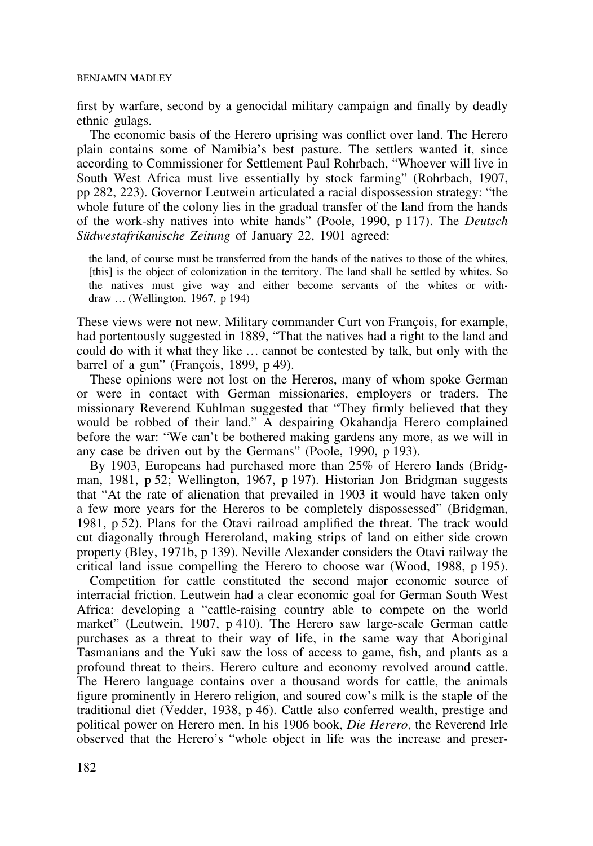first by warfare, second by a genocidal military campaign and finally by deadly ethnic gulags.

The economic basis of the Herero uprising was conflict over land. The Herero plain contains some of Namibia's best pasture. The settlers wanted it, since according to Commissioner for Settlement Paul Rohrbach, "Whoever will live in South West Africa must live essentially by stock farming" (Rohrbach, 1907, pp 282, 223). Governor Leutwein articulated a racial dispossession strategy: "the whole future of the colony lies in the gradual transfer of the land from the hands of the work-shy natives into white hands" (Poole, 1990, p 117). The *Deutsch Südwestafrikanische Zeitung* of January 22, 1901 agreed:

the land, of course must be transferred from the hands of the natives to those of the whites, [this] is the object of colonization in the territory. The land shall be settled by whites. So the natives must give way and either become servants of the whites or withdraw … (Wellington, 1967, p 194)

These views were not new. Military commander Curt von François, for example, had portentously suggested in 1889, "That the natives had a right to the land and could do with it what they like … cannot be contested by talk, but only with the barrel of a gun" (François, 1899,  $p$  49).

These opinions were not lost on the Hereros, many of whom spoke German or were in contact with German missionaries, employers or traders. The missionary Reverend Kuhlman suggested that "They firmly believed that they would be robbed of their land." A despairing Okahandja Herero complained before the war: "We can't be bothered making gardens any more, as we will in any case be driven out by the Germans" (Poole, 1990, p 193).

By 1903, Europeans had purchased more than 25% of Herero lands (Bridgman, 1981, p 52; Wellington, 1967, p 197). Historian Jon Bridgman suggests that "At the rate of alienation that prevailed in 1903 it would have taken only a few more years for the Hereros to be completely dispossessed" (Bridgman, 1981, p 52). Plans for the Otavi railroad amplified the threat. The track would cut diagonally through Hereroland, making strips of land on either side crown property (Bley, 1971b, p 139). Neville Alexander considers the Otavi railway the critical land issue compelling the Herero to choose war (Wood, 1988, p 195).

Competition for cattle constituted the second major economic source of interracial friction. Leutwein had a clear economic goal for German South West Africa: developing a "cattle-raising country able to compete on the world market" (Leutwein, 1907, p 410). The Herero saw large-scale German cattle purchases as a threat to their way of life, in the same way that Aboriginal Tasmanians and the Yuki saw the loss of access to game, fish, and plants as a profound threat to theirs. Herero culture and economy revolved around cattle. The Herero language contains over a thousand words for cattle, the animals figure prominently in Herero religion, and soured cow's milk is the staple of the traditional diet (Vedder, 1938, p 46). Cattle also conferred wealth, prestige and political power on Herero men. In his 1906 book, *Die Herero*, the Reverend Irle observed that the Herero's "whole object in life was the increase and preser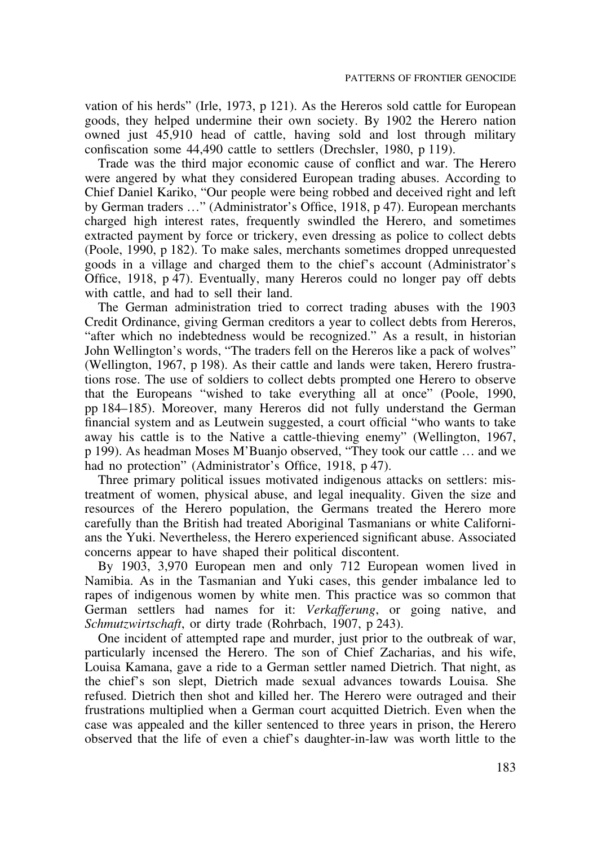vation of his herds" (Irle, 1973, p 121). As the Hereros sold cattle for European goods, they helped undermine their own society. By 1902 the Herero nation owned just 45,910 head of cattle, having sold and lost through military confiscation some 44,490 cattle to settlers (Drechsler, 1980, p 119).

Trade was the third major economic cause of conflict and war. The Herero were angered by what they considered European trading abuses. According to Chief Daniel Kariko, "Our people were being robbed and deceived right and left by German traders …" (Administrator's Office, 1918, p 47). European merchants charged high interest rates, frequently swindled the Herero, and sometimes extracted payment by force or trickery, even dressing as police to collect debts (Poole, 1990, p 182). To make sales, merchants sometimes dropped unrequested goods in a village and charged them to the chief's account (Administrator's Office, 1918, p 47). Eventually, many Hereros could no longer pay off debts with cattle, and had to sell their land.

The German administration tried to correct trading abuses with the 1903 Credit Ordinance, giving German creditors a year to collect debts from Hereros, "after which no indebtedness would be recognized." As a result, in historian John Wellington's words, "The traders fell on the Hereros like a pack of wolves" (Wellington, 1967, p 198). As their cattle and lands were taken, Herero frustrations rose. The use of soldiers to collect debts prompted one Herero to observe that the Europeans "wished to take everything all at once" (Poole, 1990, pp 184–185). Moreover, many Hereros did not fully understand the German financial system and as Leutwein suggested, a court official "who wants to take away his cattle is to the Native a cattle-thieving enemy" (Wellington, 1967, p 199). As headman Moses M'Buanjo observed, "They took our cattle … and we had no protection" (Administrator's Office, 1918, p 47).

Three primary political issues motivated indigenous attacks on settlers: mistreatment of women, physical abuse, and legal inequality. Given the size and resources of the Herero population, the Germans treated the Herero more carefully than the British had treated Aboriginal Tasmanians or white Californians the Yuki. Nevertheless, the Herero experienced significant abuse. Associated concerns appear to have shaped their political discontent.

By 1903, 3,970 European men and only 712 European women lived in Namibia. As in the Tasmanian and Yuki cases, this gender imbalance led to rapes of indigenous women by white men. This practice was so common that German settlers had names for it: *Verkafferung*, or going native, and *Schmutzwirtschaft*, or dirty trade (Rohrbach, 1907, p 243).

One incident of attempted rape and murder, just prior to the outbreak of war, particularly incensed the Herero. The son of Chief Zacharias, and his wife, Louisa Kamana, gave a ride to a German settler named Dietrich. That night, as the chief's son slept, Dietrich made sexual advances towards Louisa. She refused. Dietrich then shot and killed her. The Herero were outraged and their frustrations multiplied when a German court acquitted Dietrich. Even when the case was appealed and the killer sentenced to three years in prison, the Herero observed that the life of even a chief's daughter-in-law was worth little to the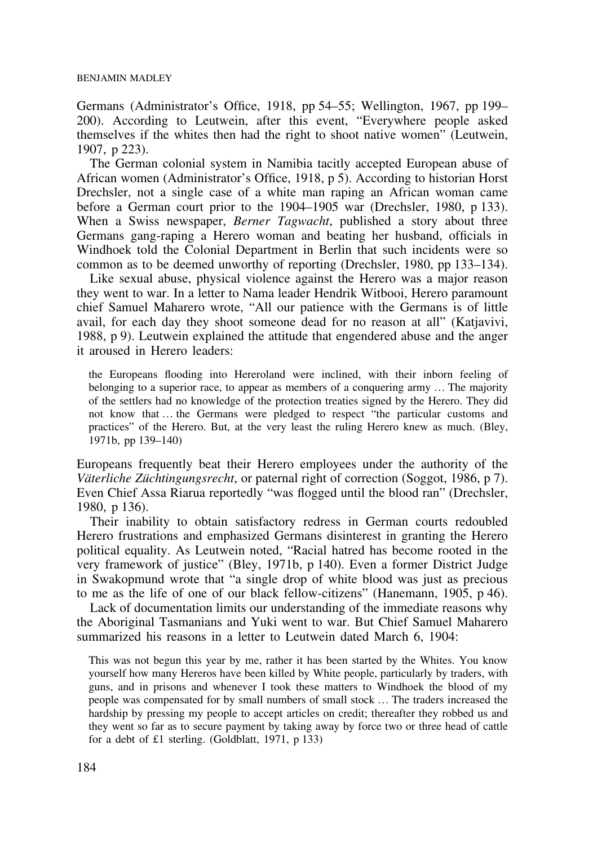Germans (Administrator's Office, 1918, pp 54–55; Wellington, 1967, pp 199– 200). According to Leutwein, after this event, "Everywhere people asked themselves if the whites then had the right to shoot native women" (Leutwein, 1907, p 223).

The German colonial system in Namibia tacitly accepted European abuse of African women (Administrator's Office, 1918, p 5). According to historian Horst Drechsler, not a single case of a white man raping an African woman came before a German court prior to the 1904–1905 war (Drechsler, 1980, p 133). When a Swiss newspaper, *Berner Tagwacht*, published a story about three Germans gang-raping a Herero woman and beating her husband, officials in Windhoek told the Colonial Department in Berlin that such incidents were so common as to be deemed unworthy of reporting (Drechsler, 1980, pp 133–134).

Like sexual abuse, physical violence against the Herero was a major reason they went to war. In a letter to Nama leader Hendrik Witbooi, Herero paramount chief Samuel Maharero wrote, "All our patience with the Germans is of little avail, for each day they shoot someone dead for no reason at all" (Katjavivi, 1988, p 9). Leutwein explained the attitude that engendered abuse and the anger it aroused in Herero leaders:

the Europeans flooding into Hereroland were inclined, with their inborn feeling of belonging to a superior race, to appear as members of a conquering army … The majority of the settlers had no knowledge of the protection treaties signed by the Herero. They did not know that … the Germans were pledged to respect "the particular customs and practices" of the Herero. But, at the very least the ruling Herero knew as much. (Bley, 1971b, pp 139–140)

Europeans frequently beat their Herero employees under the authority of the *Väterliche Züchtingungsrecht*, or paternal right of correction (Soggot, 1986, p 7). Even Chief Assa Riarua reportedly "was flogged until the blood ran" (Drechsler, 1980, p 136).

Their inability to obtain satisfactory redress in German courts redoubled Herero frustrations and emphasized Germans disinterest in granting the Herero political equality. As Leutwein noted, "Racial hatred has become rooted in the very framework of justice" (Bley, 1971b, p 140). Even a former District Judge in Swakopmund wrote that "a single drop of white blood was just as precious to me as the life of one of our black fellow-citizens" (Hanemann, 1905, p 46).

Lack of documentation limits our understanding of the immediate reasons why the Aboriginal Tasmanians and Yuki went to war. But Chief Samuel Maharero summarized his reasons in a letter to Leutwein dated March 6, 1904:

This was not begun this year by me, rather it has been started by the Whites. You know yourself how many Hereros have been killed by White people, particularly by traders, with guns, and in prisons and whenever I took these matters to Windhoek the blood of my people was compensated for by small numbers of small stock … The traders increased the hardship by pressing my people to accept articles on credit; thereafter they robbed us and they went so far as to secure payment by taking away by force two or three head of cattle for a debt of £1 sterling. (Goldblatt, 1971, p 133)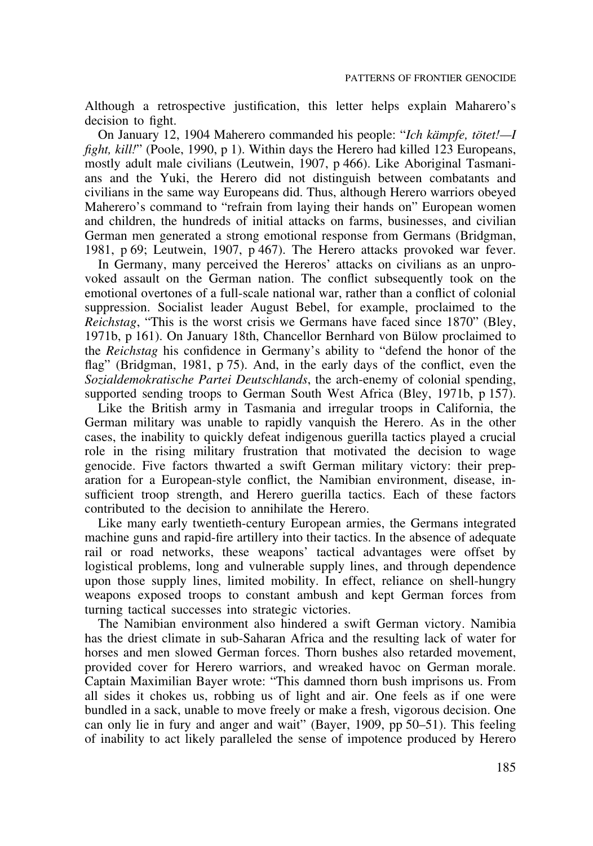Although a retrospective justification, this letter helps explain Maharero's decision to fight.

On January 12, 1904 Maherero commanded his people: "*Ich kämpfe, tötet!—I fight, kill!*" (Poole, 1990, p 1). Within days the Herero had killed 123 Europeans. mostly adult male civilians (Leutwein, 1907, p 466). Like Aboriginal Tasmanians and the Yuki, the Herero did not distinguish between combatants and civilians in the same way Europeans did. Thus, although Herero warriors obeyed Maherero's command to "refrain from laying their hands on" European women and children, the hundreds of initial attacks on farms, businesses, and civilian German men generated a strong emotional response from Germans (Bridgman, 1981, p 69; Leutwein, 1907, p 467). The Herero attacks provoked war fever.

In Germany, many perceived the Hereros' attacks on civilians as an unprovoked assault on the German nation. The conflict subsequently took on the emotional overtones of a full-scale national war, rather than a conflict of colonial suppression. Socialist leader August Bebel, for example, proclaimed to the *Reichstag*, "This is the worst crisis we Germans have faced since 1870" (Bley, 1971b, p 161). On January 18th, Chancellor Bernhard von Bülow proclaimed to the *Reichstag* his confidence in Germany's ability to "defend the honor of the flag" (Bridgman, 1981, p 75). And, in the early days of the conflict, even the *Sozialdemokratische Partei Deutschlands*, the arch-enemy of colonial spending, supported sending troops to German South West Africa (Bley, 1971b, p 157).

Like the British army in Tasmania and irregular troops in California, the German military was unable to rapidly vanquish the Herero. As in the other cases, the inability to quickly defeat indigenous guerilla tactics played a crucial role in the rising military frustration that motivated the decision to wage genocide. Five factors thwarted a swift German military victory: their preparation for a European-style conflict, the Namibian environment, disease, insufficient troop strength, and Herero guerilla tactics. Each of these factors contributed to the decision to annihilate the Herero.

Like many early twentieth-century European armies, the Germans integrated machine guns and rapid-fire artillery into their tactics. In the absence of adequate rail or road networks, these weapons' tactical advantages were offset by logistical problems, long and vulnerable supply lines, and through dependence upon those supply lines, limited mobility. In effect, reliance on shell-hungry weapons exposed troops to constant ambush and kept German forces from turning tactical successes into strategic victories.

The Namibian environment also hindered a swift German victory. Namibia has the driest climate in sub-Saharan Africa and the resulting lack of water for horses and men slowed German forces. Thorn bushes also retarded movement, provided cover for Herero warriors, and wreaked havoc on German morale. Captain Maximilian Bayer wrote: "This damned thorn bush imprisons us. From all sides it chokes us, robbing us of light and air. One feels as if one were bundled in a sack, unable to move freely or make a fresh, vigorous decision. One can only lie in fury and anger and wait" (Bayer, 1909, pp 50–51). This feeling of inability to act likely paralleled the sense of impotence produced by Herero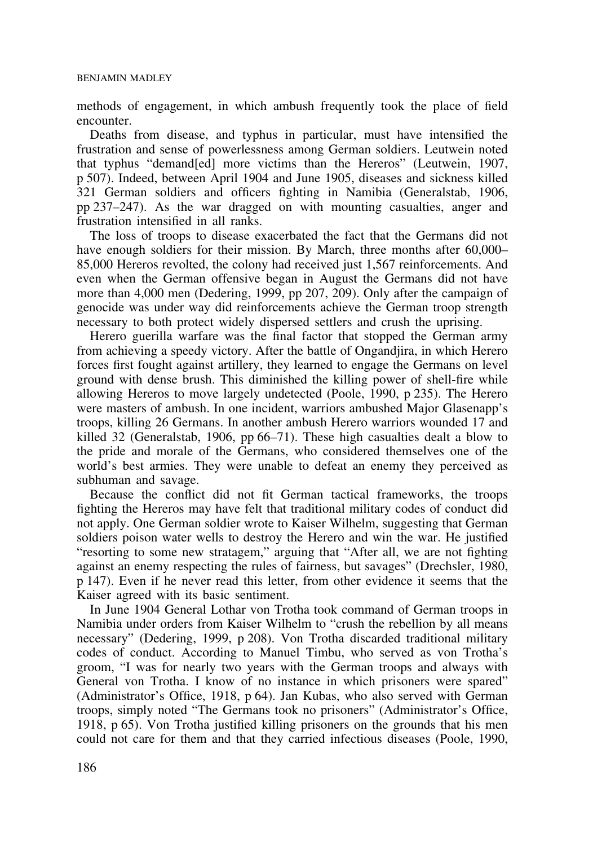methods of engagement, in which ambush frequently took the place of field encounter.

Deaths from disease, and typhus in particular, must have intensified the frustration and sense of powerlessness among German soldiers. Leutwein noted that typhus "demand[ed] more victims than the Hereros" (Leutwein, 1907, p 507). Indeed, between April 1904 and June 1905, diseases and sickness killed 321 German soldiers and officers fighting in Namibia (Generalstab, 1906, pp 237–247). As the war dragged on with mounting casualties, anger and frustration intensified in all ranks.

The loss of troops to disease exacerbated the fact that the Germans did not have enough soldiers for their mission. By March, three months after 60,000– 85,000 Hereros revolted, the colony had received just 1,567 reinforcements. And even when the German offensive began in August the Germans did not have more than 4,000 men (Dedering, 1999, pp 207, 209). Only after the campaign of genocide was under way did reinforcements achieve the German troop strength necessary to both protect widely dispersed settlers and crush the uprising.

Herero guerilla warfare was the final factor that stopped the German army from achieving a speedy victory. After the battle of Ongandjira, in which Herero forces first fought against artillery, they learned to engage the Germans on level ground with dense brush. This diminished the killing power of shell-fire while allowing Hereros to move largely undetected (Poole, 1990, p 235). The Herero were masters of ambush. In one incident, warriors ambushed Major Glasenapp's troops, killing 26 Germans. In another ambush Herero warriors wounded 17 and killed 32 (Generalstab, 1906, pp 66–71). These high casualties dealt a blow to the pride and morale of the Germans, who considered themselves one of the world's best armies. They were unable to defeat an enemy they perceived as subhuman and savage.

Because the conflict did not fit German tactical frameworks, the troops fighting the Hereros may have felt that traditional military codes of conduct did not apply. One German soldier wrote to Kaiser Wilhelm, suggesting that German soldiers poison water wells to destroy the Herero and win the war. He justified "resorting to some new stratagem," arguing that "After all, we are not fighting against an enemy respecting the rules of fairness, but savages" (Drechsler, 1980, p 147). Even if he never read this letter, from other evidence it seems that the Kaiser agreed with its basic sentiment.

In June 1904 General Lothar von Trotha took command of German troops in Namibia under orders from Kaiser Wilhelm to "crush the rebellion by all means necessary" (Dedering, 1999, p 208). Von Trotha discarded traditional military codes of conduct. According to Manuel Timbu, who served as von Trotha's groom, "I was for nearly two years with the German troops and always with General von Trotha. I know of no instance in which prisoners were spared" (Administrator's Office, 1918, p 64). Jan Kubas, who also served with German troops, simply noted "The Germans took no prisoners" (Administrator's Office, 1918, p 65). Von Trotha justified killing prisoners on the grounds that his men could not care for them and that they carried infectious diseases (Poole, 1990,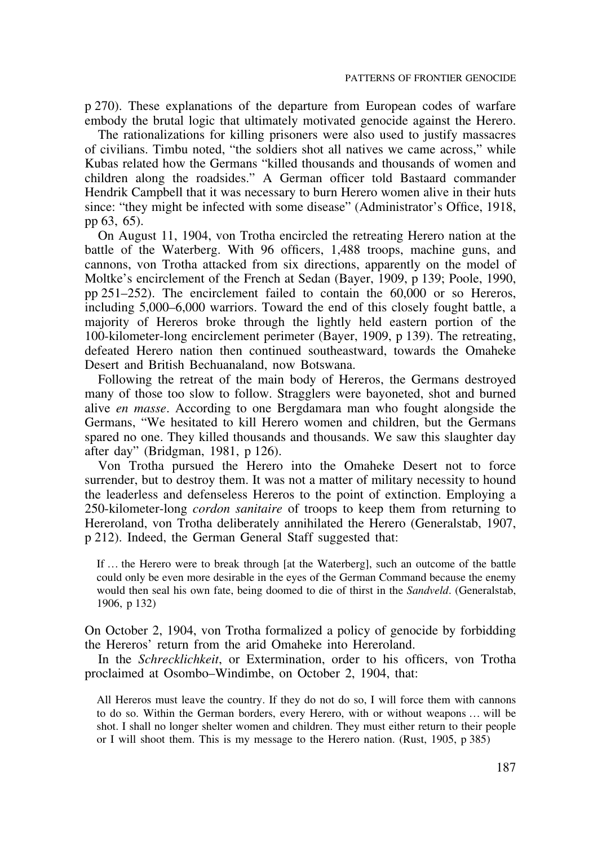p 270). These explanations of the departure from European codes of warfare embody the brutal logic that ultimately motivated genocide against the Herero.

The rationalizations for killing prisoners were also used to justify massacres of civilians. Timbu noted, "the soldiers shot all natives we came across," while Kubas related how the Germans "killed thousands and thousands of women and children along the roadsides." A German officer told Bastaard commander Hendrik Campbell that it was necessary to burn Herero women alive in their huts since: "they might be infected with some disease" (Administrator's Office, 1918, pp 63, 65).

On August 11, 1904, von Trotha encircled the retreating Herero nation at the battle of the Waterberg. With 96 officers, 1,488 troops, machine guns, and cannons, von Trotha attacked from six directions, apparently on the model of Moltke's encirclement of the French at Sedan (Bayer, 1909, p 139; Poole, 1990, pp 251–252). The encirclement failed to contain the 60,000 or so Hereros, including 5,000–6,000 warriors. Toward the end of this closely fought battle, a majority of Hereros broke through the lightly held eastern portion of the 100-kilometer-long encirclement perimeter (Bayer, 1909, p 139). The retreating, defeated Herero nation then continued southeastward, towards the Omaheke Desert and British Bechuanaland, now Botswana.

Following the retreat of the main body of Hereros, the Germans destroyed many of those too slow to follow. Stragglers were bayoneted, shot and burned alive *en masse*. According to one Bergdamara man who fought alongside the Germans, "We hesitated to kill Herero women and children, but the Germans spared no one. They killed thousands and thousands. We saw this slaughter day after day" (Bridgman, 1981, p 126).

Von Trotha pursued the Herero into the Omaheke Desert not to force surrender, but to destroy them. It was not a matter of military necessity to hound the leaderless and defenseless Hereros to the point of extinction. Employing a 250-kilometer-long *cordon sanitaire* of troops to keep them from returning to Hereroland, von Trotha deliberately annihilated the Herero (Generalstab, 1907, p 212). Indeed, the German General Staff suggested that:

If … the Herero were to break through [at the Waterberg], such an outcome of the battle could only be even more desirable in the eyes of the German Command because the enemy would then seal his own fate, being doomed to die of thirst in the *Sandveld*. (Generalstab, 1906, p 132)

On October 2, 1904, von Trotha formalized a policy of genocide by forbidding the Hereros' return from the arid Omaheke into Hereroland.

In the *Schrecklichkeit*, or Extermination, order to his officers, von Trotha proclaimed at Osombo–Windimbe, on October 2, 1904, that:

All Hereros must leave the country. If they do not do so, I will force them with cannons to do so. Within the German borders, every Herero, with or without weapons … will be shot. I shall no longer shelter women and children. They must either return to their people or I will shoot them. This is my message to the Herero nation. (Rust, 1905, p 385)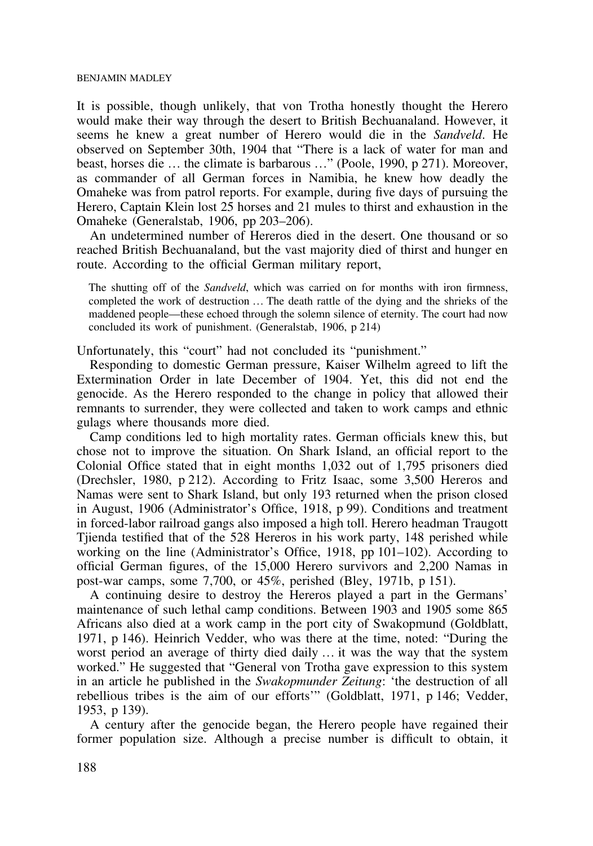It is possible, though unlikely, that von Trotha honestly thought the Herero would make their way through the desert to British Bechuanaland. However, it seems he knew a great number of Herero would die in the *Sandveld*. He observed on September 30th, 1904 that "There is a lack of water for man and beast, horses die … the climate is barbarous …" (Poole, 1990, p 271). Moreover, as commander of all German forces in Namibia, he knew how deadly the Omaheke was from patrol reports. For example, during five days of pursuing the Herero, Captain Klein lost 25 horses and 21 mules to thirst and exhaustion in the Omaheke (Generalstab, 1906, pp 203–206).

An undetermined number of Hereros died in the desert. One thousand or so reached British Bechuanaland, but the vast majority died of thirst and hunger en route. According to the official German military report,

The shutting off of the *Sandveld*, which was carried on for months with iron firmness, completed the work of destruction … The death rattle of the dying and the shrieks of the maddened people—these echoed through the solemn silence of eternity. The court had now concluded its work of punishment. (Generalstab, 1906, p 214)

Unfortunately, this "court" had not concluded its "punishment."

Responding to domestic German pressure, Kaiser Wilhelm agreed to lift the Extermination Order in late December of 1904. Yet, this did not end the genocide. As the Herero responded to the change in policy that allowed their remnants to surrender, they were collected and taken to work camps and ethnic gulags where thousands more died.

Camp conditions led to high mortality rates. German officials knew this, but chose not to improve the situation. On Shark Island, an official report to the Colonial Office stated that in eight months 1,032 out of 1,795 prisoners died (Drechsler, 1980, p 212). According to Fritz Isaac, some 3,500 Hereros and Namas were sent to Shark Island, but only 193 returned when the prison closed in August, 1906 (Administrator's Office, 1918, p 99). Conditions and treatment in forced-labor railroad gangs also imposed a high toll. Herero headman Traugott Tjienda testified that of the 528 Hereros in his work party, 148 perished while working on the line (Administrator's Office, 1918, pp 101–102). According to official German figures, of the 15,000 Herero survivors and 2,200 Namas in post-war camps, some 7,700, or 45%, perished (Bley, 1971b, p 151).

A continuing desire to destroy the Hereros played a part in the Germans' maintenance of such lethal camp conditions. Between 1903 and 1905 some 865 Africans also died at a work camp in the port city of Swakopmund (Goldblatt, 1971, p 146). Heinrich Vedder, who was there at the time, noted: "During the worst period an average of thirty died daily … it was the way that the system worked." He suggested that "General von Trotha gave expression to this system in an article he published in the *Swakopmunder Zeitung*: 'the destruction of all rebellious tribes is the aim of our efforts'" (Goldblatt, 1971, p 146; Vedder, 1953, p 139).

A century after the genocide began, the Herero people have regained their former population size. Although a precise number is difficult to obtain, it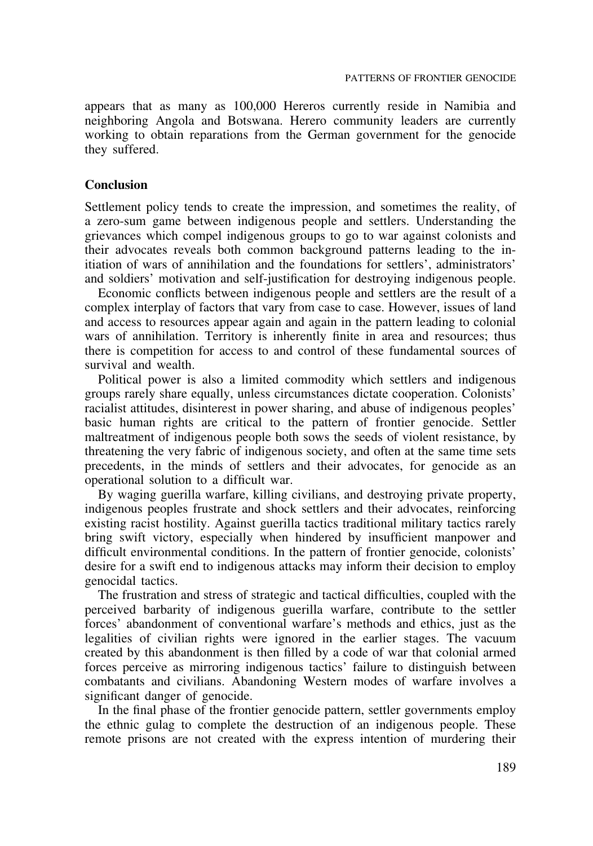appears that as many as 100,000 Hereros currently reside in Namibia and neighboring Angola and Botswana. Herero community leaders are currently working to obtain reparations from the German government for the genocide they suffered.

# **Conclusion**

Settlement policy tends to create the impression, and sometimes the reality, of a zero-sum game between indigenous people and settlers. Understanding the grievances which compel indigenous groups to go to war against colonists and their advocates reveals both common background patterns leading to the initiation of wars of annihilation and the foundations for settlers', administrators' and soldiers' motivation and self-justification for destroying indigenous people.

Economic conflicts between indigenous people and settlers are the result of a complex interplay of factors that vary from case to case. However, issues of land and access to resources appear again and again in the pattern leading to colonial wars of annihilation. Territory is inherently finite in area and resources; thus there is competition for access to and control of these fundamental sources of survival and wealth.

Political power is also a limited commodity which settlers and indigenous groups rarely share equally, unless circumstances dictate cooperation. Colonists' racialist attitudes, disinterest in power sharing, and abuse of indigenous peoples' basic human rights are critical to the pattern of frontier genocide. Settler maltreatment of indigenous people both sows the seeds of violent resistance, by threatening the very fabric of indigenous society, and often at the same time sets precedents, in the minds of settlers and their advocates, for genocide as an operational solution to a difficult war.

By waging guerilla warfare, killing civilians, and destroying private property, indigenous peoples frustrate and shock settlers and their advocates, reinforcing existing racist hostility. Against guerilla tactics traditional military tactics rarely bring swift victory, especially when hindered by insufficient manpower and difficult environmental conditions. In the pattern of frontier genocide, colonists' desire for a swift end to indigenous attacks may inform their decision to employ genocidal tactics.

The frustration and stress of strategic and tactical difficulties, coupled with the perceived barbarity of indigenous guerilla warfare, contribute to the settler forces' abandonment of conventional warfare's methods and ethics, just as the legalities of civilian rights were ignored in the earlier stages. The vacuum created by this abandonment is then filled by a code of war that colonial armed forces perceive as mirroring indigenous tactics' failure to distinguish between combatants and civilians. Abandoning Western modes of warfare involves a significant danger of genocide.

In the final phase of the frontier genocide pattern, settler governments employ the ethnic gulag to complete the destruction of an indigenous people. These remote prisons are not created with the express intention of murdering their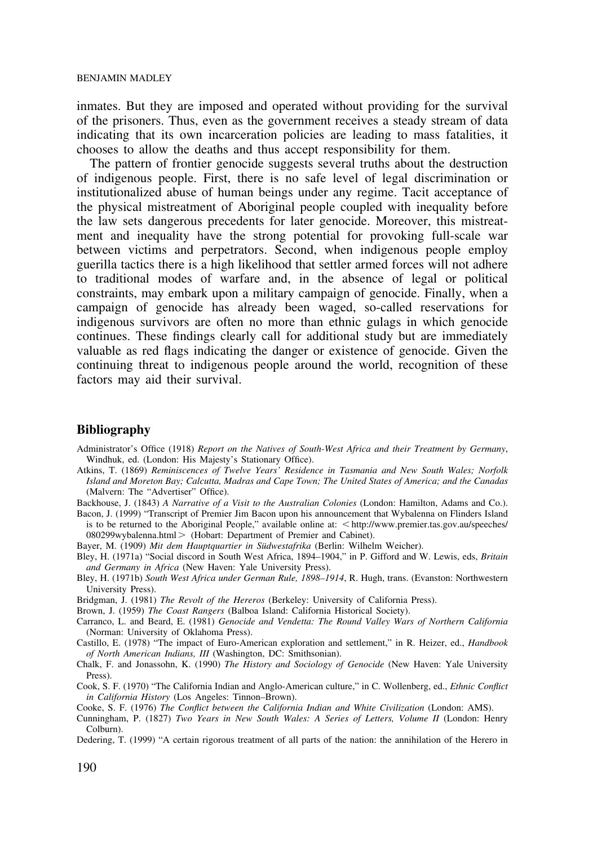inmates. But they are imposed and operated without providing for the survival of the prisoners. Thus, even as the government receives a steady stream of data indicating that its own incarceration policies are leading to mass fatalities, it chooses to allow the deaths and thus accept responsibility for them.

The pattern of frontier genocide suggests several truths about the destruction of indigenous people. First, there is no safe level of legal discrimination or institutionalized abuse of human beings under any regime. Tacit acceptance of the physical mistreatment of Aboriginal people coupled with inequality before the law sets dangerous precedents for later genocide. Moreover, this mistreatment and inequality have the strong potential for provoking full-scale war between victims and perpetrators. Second, when indigenous people employ guerilla tactics there is a high likelihood that settler armed forces will not adhere to traditional modes of warfare and, in the absence of legal or political constraints, may embark upon a military campaign of genocide. Finally, when a campaign of genocide has already been waged, so-called reservations for indigenous survivors are often no more than ethnic gulags in which genocide continues. These findings clearly call for additional study but are immediately valuable as red flags indicating the danger or existence of genocide. Given the continuing threat to indigenous people around the world, recognition of these factors may aid their survival.

#### **Bibliography**

- Administrator's Office (1918) *Report on the Natives of South-West Africa and their Treatment by Germany*, Windhuk, ed. (London: His Majesty's Stationary Office).
- Atkins, T. (1869) *Reminiscences of Twelve Years' Residence in Tasmania and New South Wales; Norfolk Island and Moreton Bay; Calcutta, Madras and Cape Town; The United States of America; and the Canadas* (Malvern: The "Advertiser" Office).

Backhouse, J. (1843) *A Narrative of a Visit to the Australian Colonies* (London: Hamilton, Adams and Co.).

Bacon, J. (1999) "Transcript of Premier Jim Bacon upon his announcement that Wybalenna on Flinders Island is to be returned to the Aboriginal People," available online at: <http://www.premier.tas.gov.au/speeches/ 080299wybalenna.html > (Hobart: Department of Premier and Cabinet).

Bayer, M. (1909) *Mit dem Hauptquartier in Südwestafrika* (Berlin: Wilhelm Weicher).

- Bley, H. (1971a) "Social discord in South West Africa, 1894–1904," in P. Gifford and W. Lewis, eds, *Britain and Germany in Africa* (New Haven: Yale University Press).
- Bley, H. (1971b) *South West Africa under German Rule, 1898–1914*, R. Hugh, trans. (Evanston: Northwestern University Press).

Bridgman, J. (1981) *The Revolt of the Hereros* (Berkeley: University of California Press).

Brown, J. (1959) *The Coast Rangers* (Balboa Island: California Historical Society).

- Carranco, L. and Beard, E. (1981) *Genocide and Vendetta: The Round Valley Wars of Northern California* (Norman: University of Oklahoma Press).
- Castillo, E. (1978) "The impact of Euro-American exploration and settlement," in R. Heizer, ed., *Handbook of North American Indians, III* (Washington, DC: Smithsonian).
- Chalk, F. and Jonassohn, K. (1990) *The History and Sociology of Genocide* (New Haven: Yale University Press).
- Cook, S. F. (1970) "The California Indian and Anglo-American culture," in C. Wollenberg, ed., *Ethnic Conflict in California History* (Los Angeles: Tinnon–Brown).

Cooke, S. F. (1976) *The Conflict between the California Indian and White Civilization* (London: AMS).

- Cunningham, P. (1827) *Two Years in New South Wales: A Series of Letters, Volume II* (London: Henry Colburn).
- Dedering, T. (1999) "A certain rigorous treatment of all parts of the nation: the annihilation of the Herero in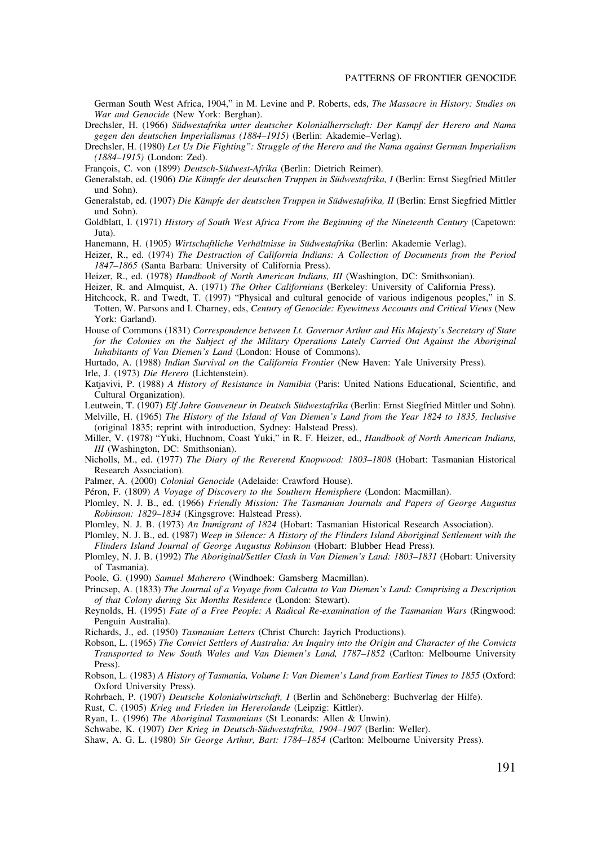German South West Africa, 1904," in M. Levine and P. Roberts, eds, *The Massacre in History: Studies on War and Genocide* (New York: Berghan).

- Drechsler, H. (1966) *Südwestafrika unter deutscher Kolonialherrschaft: Der Kampf der Herero and Nama gegen den deutschen Imperialismus (1884–1915)* (Berlin: Akademie–Verlag).
- Drechsler, H. (1980) *Let Us Die Fighting": Struggle of the Herero and the Nama against German Imperialism (1884–1915)* (London: Zed).
- François, C. von (1899) *Deutsch-Südwest-Afrika* (Berlin: Dietrich Reimer).
- Generalstab, ed. (1906) *Die Kämpfe der deutschen Truppen in Südwestafrika, I* (Berlin: Ernst Siegfried Mittler und Sohn).
- Generalstab, ed. (1907) *Die Kämpfe der deutschen Truppen in Südwestafrika, II* (Berlin: Ernst Siegfried Mittler und Sohn).
- Goldblatt, I. (1971) *History of South West Africa From the Beginning of the Nineteenth Century* (Capetown: Juta).

Hanemann, H. (1905) *Wirtschaftliche Verhältnisse in Südwestafrika* (Berlin: Akademie Verlag).

Heizer, R., ed. (1974) *The Destruction of California Indians: A Collection of Documents from the Period 1847–1865* (Santa Barbara: University of California Press).

Heizer, R., ed. (1978) *Handbook of North American Indians, III* (Washington, DC: Smithsonian).

Heizer, R. and Almquist, A. (1971) *The Other Californians* (Berkeley: University of California Press).

- Hitchcock, R. and Twedt, T. (1997) "Physical and cultural genocide of various indigenous peoples," in S. Totten, W. Parsons and I. Charney, eds, *Century of Genocide: Eyewitness Accounts and Critical Views* (New York: Garland).
- House of Commons (1831) *Correspondence between Lt. Governor Arthur and His Majesty's Secretary of State for the Colonies on the Subject of the Military Operations Lately Carried Out Against the Aboriginal Inhabitants of Van Diemen's Land* (London: House of Commons).

Hurtado, A. (1988) *Indian Survival on the California Frontier* (New Haven: Yale University Press).

- Irle, J. (1973) *Die Herero* (Lichtenstein).
- Katjavivi, P. (1988) *A History of Resistance in Namibia* (Paris: United Nations Educational, Scientific, and Cultural Organization).

Leutwein, T. (1907) *Elf Jahre Gouveneur in Deutsch Südwestafrika* (Berlin: Ernst Siegfried Mittler und Sohn).

- Melville, H. (1965) *The History of the Island of Van Diemen's Land from the Year 1824 to 1835, Inclusive* (original 1835; reprint with introduction, Sydney: Halstead Press).
- Miller, V. (1978) "Yuki, Huchnom, Coast Yuki," in R. F. Heizer, ed., *Handbook of North American Indians, III* (Washington, DC: Smithsonian).
- Nicholls, M., ed. (1977) *The Diary of the Reverend Knopwood: 1803–1808* (Hobart: Tasmanian Historical Research Association).
- Palmer, A. (2000) *Colonial Genocide* (Adelaide: Crawford House).
- Péron, F. (1809) *A Voyage of Discovery to the Southern Hemisphere* (London: Macmillan).
- Plomley, N. J. B., ed. (1966) *Friendly Mission: The Tasmanian Journals and Papers of George Augustus Robinson: 1829–1834* (Kingsgrove: Halstead Press).
- Plomley, N. J. B. (1973) *An Immigrant of 1824* (Hobart: Tasmanian Historical Research Association).
- Plomley, N. J. B., ed. (1987) *Weep in Silence: A History of the Flinders Island Aboriginal Settlement with the Flinders Island Journal of George Augustus Robinson* (Hobart: Blubber Head Press).
- Plomley, N. J. B. (1992) *The Aboriginal/Settler Clash in Van Diemen's Land: 1803–1831* (Hobart: University of Tasmania).
- Poole, G. (1990) *Samuel Maherero* (Windhoek: Gamsberg Macmillan).
- Princsep, A. (1833) *The Journal of a Voyage from Calcutta to Van Diemen's Land: Comprising a Description of that Colony during Six Months Residence* (London: Stewart).
- Reynolds, H. (1995) *Fate of a Free People: A Radical Re-examination of the Tasmanian Wars* (Ringwood: Penguin Australia).
- Richards, J., ed. (1950) *Tasmanian Letters* (Christ Church: Jayrich Productions).
- Robson, L. (1965) *The Convict Settlers of Australia: An Inquiry into the Origin and Character of the Convicts Transported to New South Wales and Van Diemen's Land, 1787–1852* (Carlton: Melbourne University Press).
- Robson, L. (1983) *A History of Tasmania, Volume I: Van Diemen's Land from Earliest Times to 1855* (Oxford: Oxford University Press).
- Rohrbach, P. (1907) *Deutsche Kolonialwirtschaft, I* (Berlin and Schöneberg: Buchverlag der Hilfe).
- Rust, C. (1905) *Krieg und Frieden im Hererolande* (Leipzig: Kittler).
- Ryan, L. (1996) *The Aboriginal Tasmanians* (St Leonards: Allen & Unwin).

Schwabe, K. (1907) *Der Krieg in Deutsch-Südwestafrika, 1904–1907* (Berlin: Weller).

Shaw, A. G. L. (1980) *Sir George Arthur, Bart: 1784–1854* (Carlton: Melbourne University Press).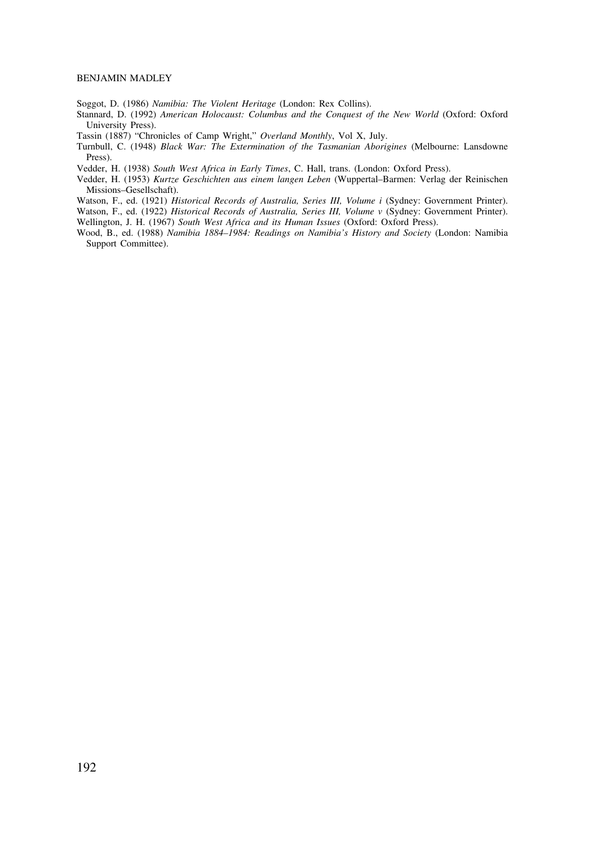Soggot, D. (1986) *Namibia: The Violent Heritage* (London: Rex Collins).

- Stannard, D. (1992) *American Holocaust: Columbus and the Conquest of the New World* (Oxford: Oxford University Press).
- Tassin (1887) "Chronicles of Camp Wright," *Overland Monthly*, Vol X, July.
- Turnbull, C. (1948) *Black War: The Extermination of the Tasmanian Aborigines* (Melbourne: Lansdowne Press).
- Vedder, H. (1938) *South West Africa in Early Times*, C. Hall, trans. (London: Oxford Press).
- Vedder, H. (1953) *Kurtze Geschichten aus einem langen Leben* (Wuppertal–Barmen: Verlag der Reinischen Missions–Gesellschaft).

Watson, F., ed. (1921) *Historical Records of Australia, Series III, Volume i* (Sydney: Government Printer). Watson, F., ed. (1922) *Historical Records of Australia, Series III, Volume v* (Sydney: Government Printer).

Wellington, J. H. (1967) *South West Africa and its Human Issues* (Oxford: Oxford Press).

Wood, B., ed. (1988) *Namibia 1884–1984: Readings on Namibia's History and Society* (London: Namibia Support Committee).